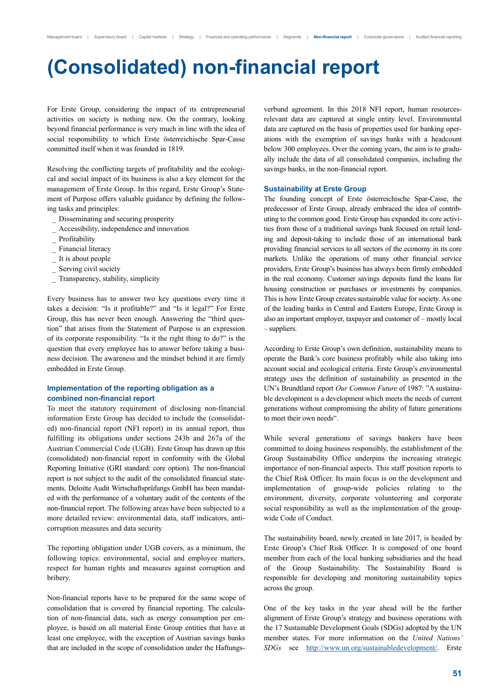# **(Consolidated) non-financial report**

For Erste Group, considering the impact of its entrepreneurial activities on society is nothing new. On the contrary, looking beyond financial performance is very much in line with the idea of social responsibility to which Erste österreichische Spar-Casse committed itself when it was founded in 1819.

Resolving the conflicting targets of profitability and the ecological and social impact of its business is also a key element for the management of Erste Group. In this regard, Erste Group's Statement of Purpose offers valuable guidance by defining the following tasks and principles:

- \_ Disseminating and securing prosperity
- \_ Accessibility, independence and innovation
- Profitability
- Financial literacy
- It is about people
- Serving civil society
- Transparency, stability, simplicity

Every business has to answer two key questions every time it takes a decision: "Is it profitable?" and "Is it legal?" For Erste Group, this has never been enough. Answering the "third question" that arises from the Statement of Purpose is an expression of its corporate responsibility. "Is it the right thing to do?" is the question that every employee has to answer before taking a business decision. The awareness and the mindset behind it are firmly embedded in Erste Group.

### **Implementation of the reporting obligation as a combined non-financial report**

To meet the statutory requirement of disclosing non-financial information Erste Group has decided to include the (consolidated) non-financial report (NFI report) in its annual report, thus fulfilling its obligations under sections 243b and 267a of the Austrian Commercial Code (UGB). Erste Group has drawn up this (consolidated) non-financial report in conformity with the Global Reporting Initiative (GRI standard: core option). The non-financial report is not subject to the audit of the consolidated financial statements. Deloitte Audit Wirtschaftsprüfungs GmbH has been mandated with the performance of a voluntary audit of the contents of the non-financial report. The following areas have been subjected to a more detailed review: environmental data, staff indicators, anticorruption measures and data security

The reporting obligation under UGB covers, as a minimum, the following topics: environmental, social and employee matters, respect for human rights and measures against corruption and bribery.

Non-financial reports have to be prepared for the same scope of consolidation that is covered by financial reporting. The calculation of non-financial data, such as energy consumption per employee, is based on all material Erste Group entities that have at least one employee, with the exception of Austrian savings banks that are included in the scope of consolidation under the Haftungsverbund agreement. In this 2018 NFI report, human resourcesrelevant data are captured at single entity level. Environmental data are captured on the basis of properties used for banking operations with the exemption of savings banks with a headcount below 300 employees. Over the coming years, the aim is to gradually include the data of all consolidated companies, including the savings banks, in the non-financial report.

#### **Sustainability at Erste Group**

The founding concept of Erste österreichische Spar-Casse, the predecessor of Erste Group, already embraced the idea of contributing to the common good. Erste Group has expanded its core activities from those of a traditional savings bank focused on retail lending and deposit-taking to include those of an international bank providing financial services to all sectors of the economy in its core markets. Unlike the operations of many other financial service providers, Erste Group's business has always been firmly embedded in the real economy. Customer savings deposits fund the loans for housing construction or purchases or investments by companies. This is how Erste Group creates sustainable value for society. As one of the leading banks in Central and Eastern Europe, Erste Group is also an important employer, taxpayer and customer of – mostly local – suppliers.

According to Erste Group's own definition, sustainability means to operate the Bank's core business profitably while also taking into account social and ecological criteria. Erste Group's environmental strategy uses the definition of sustainability as presented in the UN's Brundtland report *Our Common Future* of 1987: "A sustainable development is a development which meets the needs of current generations without compromising the ability of future generations to meet their own needs".

While several generations of savings bankers have been committed to doing business responsibly, the establishment of the Group Sustainability Office underpins the increasing strategic importance of non-financial aspects. This staff position reports to the Chief Risk Officer. Its main focus is on the development and implementation of group-wide policies relating to the environment, diversity, corporate volunteering and corporate social responsibility as well as the implementation of the groupwide Code of Conduct.

The sustainability board, newly created in late 2017, is headed by Erste Group's Chief Risk Officer. It is composed of one board member from each of the local banking subsidiaries and the head of the Group Sustainability. The Sustainability Board is responsible for developing and monitoring sustainability topics across the group.

One of the key tasks in the year ahead will be the further alignment of Erste Group's strategy and business operations with the 17 Sustainable Development Goals (SDGs) adopted by the UN member states. For more information on the *United Nations' SDGs* see http://www.un.org/sustainabledevelopment/. Erste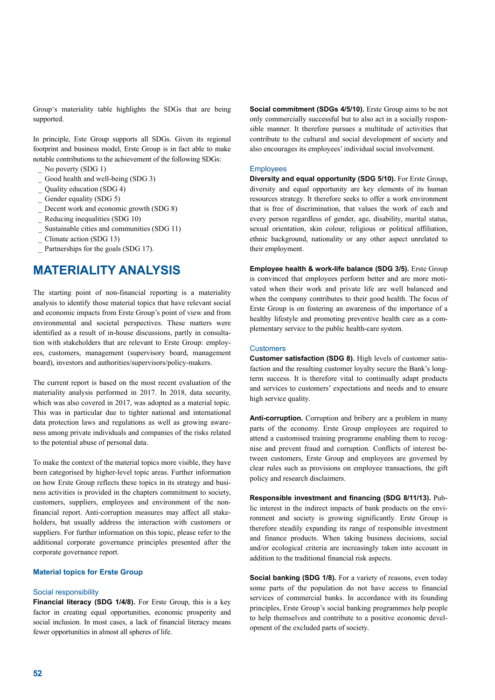Group's materiality table highlights the SDGs that are being supported.

In principle, Este Group supports all SDGs. Given its regional footprint and business model, Erste Group is in fact able to make notable contributions to the achievement of the following SDGs:

- No poverty (SDG 1)
- Good health and well-being (SDG 3)
- \_ Quality education (SDG 4)
- Gender equality (SDG 5)
- Decent work and economic growth (SDG 8)
- Reducing inequalities (SDG 10)
- Sustainable cities and communities (SDG 11)
- Climate action (SDG 13)
- Partnerships for the goals (SDG 17).

# **MATERIALITY ANALYSIS**

The starting point of non-financial reporting is a materiality analysis to identify those material topics that have relevant social and economic impacts from Erste Group's point of view and from environmental and societal perspectives. These matters were identified as a result of in-house discussions, partly in consultation with stakeholders that are relevant to Erste Group: employees, customers, management (supervisory board, management board), investors and authorities/supervisors/policy-makers.

The current report is based on the most recent evaluation of the materiality analysis performed in 2017. In 2018, data security, which was also covered in 2017, was adopted as a material topic. This was in particular due to tighter national and international data protection laws and regulations as well as growing awareness among private individuals and companies of the risks related to the potential abuse of personal data.

To make the context of the material topics more visible, they have been categorised by higher-level topic areas. Further information on how Erste Group reflects these topics in its strategy and business activities is provided in the chapters commitment to society, customers, suppliers, employees and environment of the nonfinancial report. Anti-corruption measures may affect all stakeholders, but usually address the interaction with customers or suppliers. For further information on this topic, please refer to the additional corporate governance principles presented after the corporate governance report.

### **Material topics for Erste Group**

#### Social responsibility

**Financial literacy (SDG 1/4/8).** For Erste Group, this is a key factor in creating equal opportunities, economic prosperity and social inclusion. In most cases, a lack of financial literacy means fewer opportunities in almost all spheres of life.

**Social commitment (SDGs 4/5/10).** Erste Group aims to be not only commercially successful but to also act in a socially responsible manner. It therefore pursues a multitude of activities that contribute to the cultural and social development of society and also encourages its employees' individual social involvement.

#### **Employees**

**Diversity and equal opportunity (SDG 5/10).** For Erste Group, diversity and equal opportunity are key elements of its human resources strategy. It therefore seeks to offer a work environment that is free of discrimination, that values the work of each and every person regardless of gender, age, disability, marital status, sexual orientation, skin colour, religious or political affiliation, ethnic background, nationality or any other aspect unrelated to their employment.

**Employee health & work-life balance (SDG 3/5).** Erste Group is convinced that employees perform better and are more motivated when their work and private life are well balanced and when the company contributes to their good health. The focus of Erste Group is on fostering an awareness of the importance of a healthy lifestyle and promoting preventive health care as a complementary service to the public health-care system.

#### **Customers**

**Customer satisfaction (SDG 8).** High levels of customer satisfaction and the resulting customer loyalty secure the Bank's longterm success. It is therefore vital to continually adapt products and services to customers' expectations and needs and to ensure high service quality.

**Anti-corruption.** Corruption and bribery are a problem in many parts of the economy. Erste Group employees are required to attend a customised training programme enabling them to recognise and prevent fraud and corruption. Conflicts of interest between customers, Erste Group and employees are governed by clear rules such as provisions on employee transactions, the gift policy and research disclaimers.

**Responsible investment and financing (SDG 8/11/13).** Public interest in the indirect impacts of bank products on the environment and society is growing significantly. Erste Group is therefore steadily expanding its range of responsible investment and finance products. When taking business decisions, social and/or ecological criteria are increasingly taken into account in addition to the traditional financial risk aspects.

**Social banking (SDG 1/8).** For a variety of reasons, even today some parts of the population do not have access to financial services of commercial banks. In accordance with its founding principles, Erste Group's social banking programmes help people to help themselves and contribute to a positive economic development of the excluded parts of society.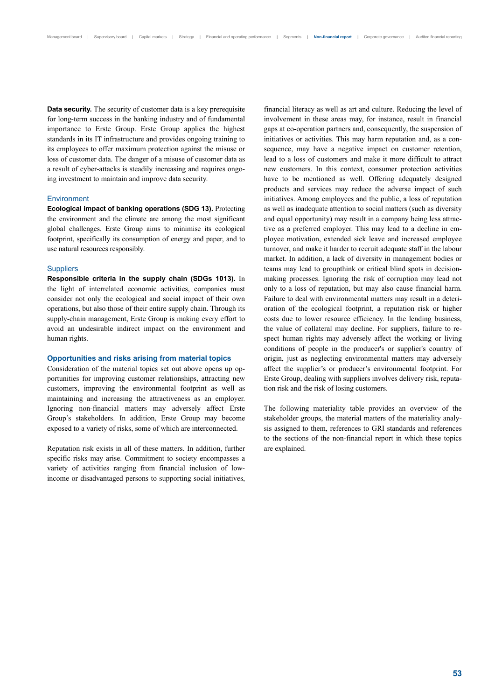**Data security.** The security of customer data is a key prerequisite for long-term success in the banking industry and of fundamental importance to Erste Group. Erste Group applies the highest standards in its IT infrastructure and provides ongoing training to its employees to offer maximum protection against the misuse or loss of customer data. The danger of a misuse of customer data as a result of cyber-attacks is steadily increasing and requires ongoing investment to maintain and improve data security.

#### **Environment**

**Ecological impact of banking operations (SDG 13).** Protecting the environment and the climate are among the most significant global challenges. Erste Group aims to minimise its ecological footprint, specifically its consumption of energy and paper, and to use natural resources responsibly.

#### **Suppliers**

**Responsible criteria in the supply chain (SDGs 1013).** In the light of interrelated economic activities, companies must consider not only the ecological and social impact of their own operations, but also those of their entire supply chain. Through its supply-chain management, Erste Group is making every effort to avoid an undesirable indirect impact on the environment and human rights.

#### **Opportunities and risks arising from material topics**

Consideration of the material topics set out above opens up opportunities for improving customer relationships, attracting new customers, improving the environmental footprint as well as maintaining and increasing the attractiveness as an employer. Ignoring non-financial matters may adversely affect Erste Group's stakeholders. In addition, Erste Group may become exposed to a variety of risks, some of which are interconnected.

Reputation risk exists in all of these matters. In addition, further specific risks may arise. Commitment to society encompasses a variety of activities ranging from financial inclusion of lowincome or disadvantaged persons to supporting social initiatives, financial literacy as well as art and culture. Reducing the level of involvement in these areas may, for instance, result in financial gaps at co-operation partners and, consequently, the suspension of initiatives or activities. This may harm reputation and, as a consequence, may have a negative impact on customer retention, lead to a loss of customers and make it more difficult to attract new customers. In this context, consumer protection activities have to be mentioned as well. Offering adequately designed products and services may reduce the adverse impact of such initiatives. Among employees and the public, a loss of reputation as well as inadequate attention to social matters (such as diversity and equal opportunity) may result in a company being less attractive as a preferred employer. This may lead to a decline in employee motivation, extended sick leave and increased employee turnover, and make it harder to recruit adequate staff in the labour market. In addition, a lack of diversity in management bodies or teams may lead to groupthink or critical blind spots in decisionmaking processes. Ignoring the risk of corruption may lead not only to a loss of reputation, but may also cause financial harm. Failure to deal with environmental matters may result in a deterioration of the ecological footprint, a reputation risk or higher costs due to lower resource efficiency. In the lending business, the value of collateral may decline. For suppliers, failure to respect human rights may adversely affect the working or living conditions of people in the producer's or supplier's country of origin, just as neglecting environmental matters may adversely affect the supplier's or producer's environmental footprint. For Erste Group, dealing with suppliers involves delivery risk, reputation risk and the risk of losing customers.

The following materiality table provides an overview of the stakeholder groups, the material matters of the materiality analysis assigned to them, references to GRI standards and references to the sections of the non-financial report in which these topics are explained.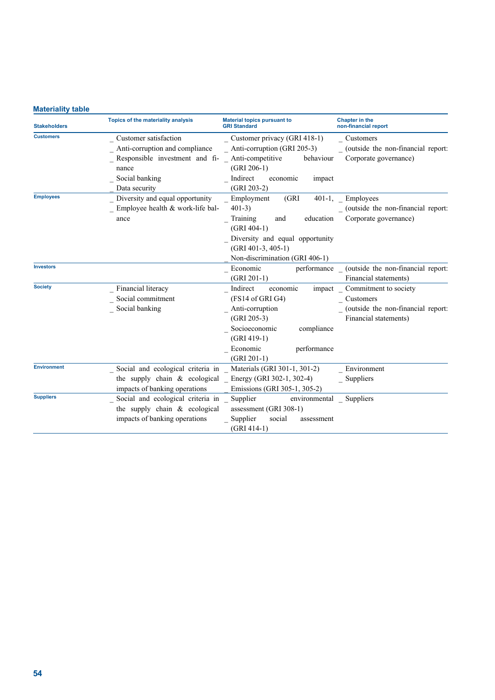# **Materiality table**

| <b>Stakeholders</b> | Topics of the materiality analysis                               | <b>Material topics pursuant to</b><br><b>GRI Standard</b> | <b>Chapter in the</b><br>non-financial report  |
|---------------------|------------------------------------------------------------------|-----------------------------------------------------------|------------------------------------------------|
| <b>Customers</b>    | Customer satisfaction                                            | Customer privacy (GRI 418-1)                              | Customers                                      |
|                     | Anti-corruption and compliance                                   | Anti-corruption (GRI 205-3)                               | (outside the non-financial report:             |
|                     | Responsible investment and fi-                                   | Anti-competitive<br>behaviour                             | Corporate governance)                          |
|                     | nance                                                            | $(GRI 206-1)$                                             |                                                |
|                     | Social banking                                                   | Indirect<br>economic<br>impact                            |                                                |
|                     | Data security                                                    | $(GRI 203-2)$                                             |                                                |
| <b>Employees</b>    | Diversity and equal opportunity                                  | Employment<br>(GRI)                                       | 401-1, Employees                               |
|                     | Employee health & work-life bal-                                 | $401-3)$                                                  | (outside the non-financial report:             |
|                     | ance                                                             | Training<br>education<br>and                              | Corporate governance)                          |
|                     |                                                                  | $(GRI 404-1)$                                             |                                                |
|                     |                                                                  | Diversity and equal opportunity                           |                                                |
|                     |                                                                  | $(GRI 401-3, 405-1)$                                      |                                                |
|                     |                                                                  | Non-discrimination (GRI 406-1)                            |                                                |
| <b>Investors</b>    |                                                                  | Economic                                                  | performance (outside the non-financial report: |
|                     |                                                                  | $(GRI 201-1)$                                             | Financial statements)                          |
| <b>Society</b>      | Financial literacy                                               | Indirect<br>economic                                      | impact Commitment to society                   |
|                     | Social commitment                                                | (FS14 of GRI G4)                                          | Customers                                      |
|                     | Social banking                                                   | Anti-corruption                                           | (outside the non-financial report:             |
|                     |                                                                  | $(GRI 205-3)$                                             | Financial statements)                          |
|                     |                                                                  | Socioeconomic<br>compliance                               |                                                |
|                     |                                                                  | $(GRI 419-1)$                                             |                                                |
|                     |                                                                  | Economic<br>performance                                   |                                                |
|                     |                                                                  | $(GRI 201-1)$                                             |                                                |
| <b>Environment</b>  | Social and ecological criteria in _ Materials (GRI 301-1, 301-2) |                                                           | Environment                                    |
|                     | the supply chain & ecological Energy (GRI 302-1, 302-4)          |                                                           | Suppliers                                      |
|                     | impacts of banking operations                                    | Emissions (GRI 305-1, 305-2)                              |                                                |
| <b>Suppliers</b>    | Social and ecological criteria in _                              | Supplier<br>environmental                                 | Suppliers                                      |
|                     | the supply chain & ecological                                    | assessment (GRI 308-1)                                    |                                                |
|                     | impacts of banking operations                                    | Supplier<br>social<br>assessment                          |                                                |
|                     |                                                                  | $(GRI 414-1)$                                             |                                                |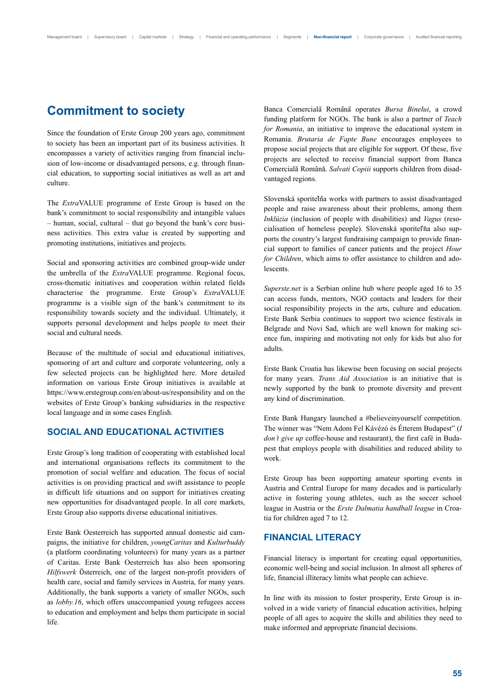# **Commitment to society**

Since the foundation of Erste Group 200 years ago, commitment to society has been an important part of its business activities. It encompasses a variety of activities ranging from financial inclusion of low-income or disadvantaged persons, e.g. through financial education, to supporting social initiatives as well as art and culture.

The *Extra*VALUE programme of Erste Group is based on the bank's commitment to social responsibility and intangible values – human, social, cultural – that go beyond the bank's core business activities. This extra value is created by supporting and promoting institutions, initiatives and projects.

Social and sponsoring activities are combined group-wide under the umbrella of the *Extra*VALUE programme. Regional focus, cross-thematic initiatives and cooperation within related fields characterise the programme. Erste Group's *Extra*VALUE programme is a visible sign of the bank's commitment to its responsibility towards society and the individual. Ultimately, it supports personal development and helps people to meet their social and cultural needs.

Because of the multitude of social and educational initiatives, sponsoring of art and culture and corporate volunteering, only a few selected projects can be highlighted here. More detailed information on various Erste Group initiatives is available at https://www.erstegroup.com/en/about-us/responsibility and on the websites of Erste Group's banking subsidiaries in the respective local language and in some cases English.

# **SOCIAL AND EDUCATIONAL ACTIVITIES**

Erste Group's long tradition of cooperating with established local and international organisations reflects its commitment to the promotion of social welfare and education. The focus of social activities is on providing practical and swift assistance to people in difficult life situations and on support for initiatives creating new opportunities for disadvantaged people. In all core markets, Erste Group also supports diverse educational initiatives.

Erste Bank Oesterreich has supported annual domestic aid campaigns, the initiative for children, *youngCaritas* and *Kulturbuddy* (a platform coordinating volunteers) for many years as a partner of Caritas. Erste Bank Oesterreich has also been sponsoring *Hilfswerk* Österreich, one of the largest non-profit providers of health care, social and family services in Austria, for many years. Additionally, the bank supports a variety of smaller NGOs, such as *lobby.16*, which offers unaccompanied young refugees access to education and employment and helps them participate in social life.

Banca Comercială Română operates *Bursa Binelui*, a crowd funding platform for NGOs. The bank is also a partner of *Teach for Romania*, an initiative to improve the educational system in Romania. *Brutaria de Fapte Bune* encourages employees to propose social projects that are eligible for support. Of these, five projects are selected to receive financial support from Banca Comercială Română. *Salvati Copiii* supports children from disadvantaged regions.

Slovenská sporiteľnía works with partners to assist disadvantaged people and raise awareness about their problems, among them *Inklúzia* (inclusion of people with disabilities) and *Vagus* (resocialisation of homeless people). Slovenská sporiteľňa also supports the country's largest fundraising campaign to provide financial support to families of cancer patients and the project *Hour for Children*, which aims to offer assistance to children and adolescents.

*Superste.net* is a Serbian online hub where people aged 16 to 35 can access funds, mentors, NGO contacts and leaders for their social responsibility projects in the arts, culture and education. Erste Bank Serbia continues to support two science festivals in Belgrade and Novi Sad, which are well known for making science fun, inspiring and motivating not only for kids but also for adults.

Erste Bank Croatia has likewise been focusing on social projects for many years. *Trans Aid Association* is an initiative that is newly supported by the bank to promote diversity and prevent any kind of discrimination.

Erste Bank Hungary launched a #believeinyourself competition. The winner was "Nem Adom Fel Kávézó és Étterem Budapest" (*I don't give up* coffee-house and restaurant), the first café in Budapest that employs people with disabilities and reduced ability to work.

Erste Group has been supporting amateur sporting events in Austria and Central Europe for many decades and is particularly active in fostering young athletes, such as the soccer school league in Austria or the *Erste Dalmatia handball league* in Croatia for children aged 7 to 12.

# **FINANCIAL LITERACY**

Financial literacy is important for creating equal opportunities, economic well-being and social inclusion. In almost all spheres of life, financial illiteracy limits what people can achieve.

In line with its mission to foster prosperity, Erste Group is involved in a wide variety of financial education activities, helping people of all ages to acquire the skills and abilities they need to make informed and appropriate financial decisions.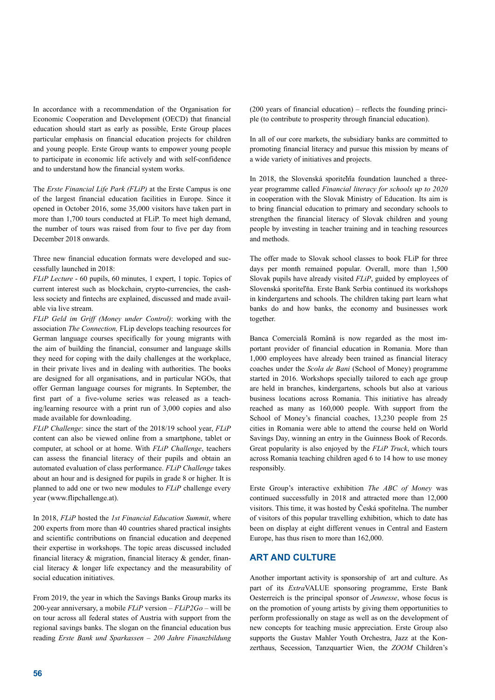In accordance with a recommendation of the Organisation for Economic Cooperation and Development (OECD) that financial education should start as early as possible, Erste Group places particular emphasis on financial education projects for children and young people. Erste Group wants to empower young people to participate in economic life actively and with self-confidence and to understand how the financial system works.

The *Erste Financial Life Park (FLiP)* at the Erste Campus is one of the largest financial education facilities in Europe. Since it opened in October 2016, some 35,000 visitors have taken part in more than 1,700 tours conducted at FLiP. To meet high demand, the number of tours was raised from four to five per day from December 2018 onwards.

Three new financial education formats were developed and successfully launched in 2018:

*FLiP Lecture* - 60 pupils, 60 minutes, 1 expert, 1 topic. Topics of current interest such as blockchain, crypto-currencies, the cashless society and fintechs are explained, discussed and made available via live stream.

*FLiP Geld im Griff (Money under Control)*: working with the association *The Connection,* FLip develops teaching resources for German language courses specifically for young migrants with the aim of building the financial, consumer and language skills they need for coping with the daily challenges at the workplace, in their private lives and in dealing with authorities. The books are designed for all organisations, and in particular NGOs, that offer German language courses for migrants. In September, the first part of a five-volume series was released as a teaching/learning resource with a print run of 3,000 copies and also made available for downloading.

*FLiP Challenge*: since the start of the 2018/19 school year, *FLiP* content can also be viewed online from a smartphone, tablet or computer, at school or at home. With *FLiP Challenge*, teachers can assess the financial literacy of their pupils and obtain an automated evaluation of class performance. *FLiP Challenge* takes about an hour and is designed for pupils in grade 8 or higher. It is planned to add one or two new modules to *FLiP* challenge every year (www.flipchallenge.at).

In 2018, *FLiP* hosted the *1st Financial Education Summit*, where 200 experts from more than 40 countries shared practical insights and scientific contributions on financial education and deepened their expertise in workshops. The topic areas discussed included financial literacy & migration, financial literacy & gender, financial literacy & longer life expectancy and the measurability of social education initiatives.

From 2019, the year in which the Savings Banks Group marks its 200-year anniversary, a mobile *FLiP* version – *FLiP2Go* – will be on tour across all federal states of Austria with support from the regional savings banks. The slogan on the financial education bus reading *Erste Bank und Sparkassen – 200 Jahre Finanzbildung* (200 years of financial education) *–* reflects the founding principle (to contribute to prosperity through financial education).

In all of our core markets, the subsidiary banks are committed to promoting financial literacy and pursue this mission by means of a wide variety of initiatives and projects.

In 2018, the Slovenská sporiteľňa foundation launched a threeyear programme called *Financial literacy for schools up to 2020* in cooperation with the Slovak Ministry of Education. Its aim is to bring financial education to primary and secondary schools to strengthen the financial literacy of Slovak children and young people by investing in teacher training and in teaching resources and methods.

The offer made to Slovak school classes to book FLiP for three days per month remained popular. Overall, more than 1,500 Slovak pupils have already visited *FLiP*, guided by employees of Slovenská sporiteľňa. Erste Bank Serbia continued its workshops in kindergartens and schools. The children taking part learn what banks do and how banks, the economy and businesses work together.

Banca Comercială Română is now regarded as the most important provider of financial education in Romania. More than 1,000 employees have already been trained as financial literacy coaches under the *Scola de Bani* (School of Money) programme started in 2016. Workshops specially tailored to each age group are held in branches, kindergartens, schools but also at various business locations across Romania. This initiative has already reached as many as 160,000 people. With support from the School of Money's financial coaches, 13,230 people from 25 cities in Romania were able to attend the course held on World Savings Day, winning an entry in the Guinness Book of Records. Great popularity is also enjoyed by the *FLiP Truck*, which tours across Romania teaching children aged 6 to 14 how to use money responsibly.

Erste Group's interactive exhibition *The ABC of Money* was continued successfully in 2018 and attracted more than 12,000 visitors. This time, it was hosted by Česká spořitelna. The number of visitors of this popular travelling exhibition, which to date has been on display at eight different venues in Central and Eastern Europe, has thus risen to more than 162,000.

# **ART AND CULTURE**

Another important activity is sponsorship of art and culture. As part of its *Extra*VALUE sponsoring programme, Erste Bank Oesterreich is the principal sponsor of *Jeunesse*, whose focus is on the promotion of young artists by giving them opportunities to perform professionally on stage as well as on the development of new concepts for teaching music appreciation. Erste Group also supports the Gustav Mahler Youth Orchestra, Jazz at the Konzerthaus, Secession, Tanzquartier Wien, the *ZOOM* Children's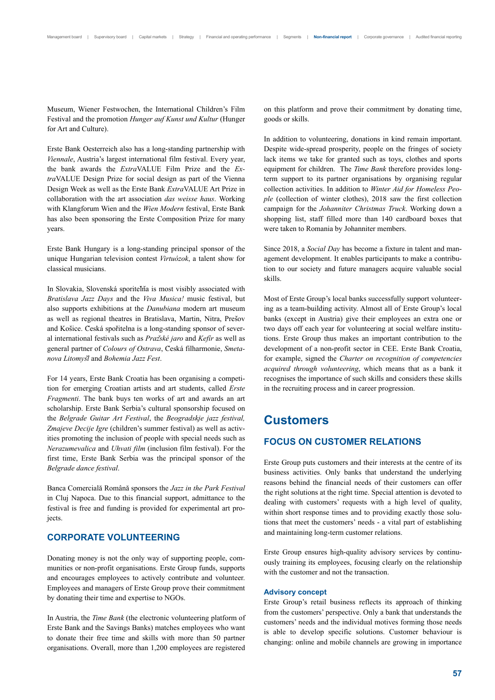Museum, Wiener Festwochen, the International Children's Film Festival and the promotion *Hunger auf Kunst und Kultur* (Hunger for Art and Culture).

Erste Bank Oesterreich also has a long-standing partnership with *Viennale*, Austria's largest international film festival. Every year, the bank awards the *Extra*VALUE Film Prize and the *Extra*VALUE Design Prize for social design as part of the Vienna Design Week as well as the Erste Bank *Extra*VALUE Art Prize in collaboration with the art association *das weisse haus*. Working with Klangforum Wien and the *Wien Modern* festival, Erste Bank has also been sponsoring the Erste Composition Prize for many years.

Erste Bank Hungary is a long-standing principal sponsor of the unique Hungarian television contest *Virtuózok*, a talent show for classical musicians.

In Slovakia, Slovenská sporiteľňa is most visibly associated with *Bratislava Jazz Days* and the *Viva Musica!* music festival, but also supports exhibitions at the *Danubiana* modern art museum as well as regional theatres in Bratislava, Martin, Nitra, Prešov and Košice. Ceská spořitelna is a long-standing sponsor of several international festivals such as *Praz*̌*ské jaro* and *Kefír* as well as general partner of *Colours of Ostrava*, Ceská filharmonie, *Smetanova Litomys*̌*l* and *Bohemia Jazz Fest*.

For 14 years, Erste Bank Croatia has been organising a competition for emerging Croatian artists and art students, called *Erste Fragmenti*. The bank buys ten works of art and awards an art scholarship. Erste Bank Serbia's cultural sponsorship focused on the *Belgrade Guitar Art Festival*, the *Beogradskje jazz festival, Zmajeve Decije Igre* (children's summer festival) as well as activities promoting the inclusion of people with special needs such as *Nerazumevalica* and *Uhvati film* (inclusion film festival). For the first time, Erste Bank Serbia was the principal sponsor of the *Belgrade dance festival*.

Banca Comercială Română sponsors the *Jazz in the Park Festival* in Cluj Napoca. Due to this financial support, admittance to the festival is free and funding is provided for experimental art projects.

# **CORPORATE VOLUNTEERING**

Donating money is not the only way of supporting people, communities or non-profit organisations. Erste Group funds, supports and encourages employees to actively contribute and volunteer. Employees and managers of Erste Group prove their commitment by donating their time and expertise to NGOs.

In Austria, the *Time Bank* (the electronic volunteering platform of Erste Bank and the Savings Banks) matches employees who want to donate their free time and skills with more than 50 partner organisations. Overall, more than 1,200 employees are registered on this platform and prove their commitment by donating time, goods or skills.

In addition to volunteering, donations in kind remain important. Despite wide-spread prosperity, people on the fringes of society lack items we take for granted such as toys, clothes and sports equipment for children. The *Time Bank* therefore provides longterm support to its partner organisations by organising regular collection activities. In addition to *Winter Aid for Homeless People* (collection of winter clothes), 2018 saw the first collection campaign for the *Johanniter Christmas Truck*. Working down a shopping list, staff filled more than 140 cardboard boxes that were taken to Romania by Johanniter members.

Since 2018, a *Social Day* has become a fixture in talent and management development. It enables participants to make a contribution to our society and future managers acquire valuable social skills.

Most of Erste Group's local banks successfully support volunteering as a team-building activity. Almost all of Erste Group's local banks (except in Austria) give their employees an extra one or two days off each year for volunteering at social welfare institutions. Erste Group thus makes an important contribution to the development of a non-profit sector in CEE. Erste Bank Croatia, for example, signed the *Charter on recognition of competencies acquired through volunteering*, which means that as a bank it recognises the importance of such skills and considers these skills in the recruiting process and in career progression.

# **Customers**

# **FOCUS ON CUSTOMER RELATIONS**

Erste Group puts customers and their interests at the centre of its business activities. Only banks that understand the underlying reasons behind the financial needs of their customers can offer the right solutions at the right time. Special attention is devoted to dealing with customers' requests with a high level of quality, within short response times and to providing exactly those solutions that meet the customers' needs - a vital part of establishing and maintaining long-term customer relations.

Erste Group ensures high-quality advisory services by continuously training its employees, focusing clearly on the relationship with the customer and not the transaction.

#### **Advisory concept**

Erste Group's retail business reflects its approach of thinking from the customers' perspective. Only a bank that understands the customers' needs and the individual motives forming those needs is able to develop specific solutions. Customer behaviour is changing: online and mobile channels are growing in importance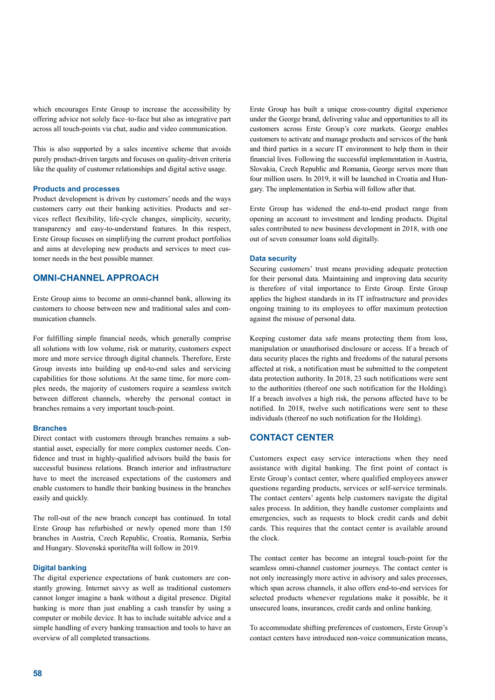which encourages Erste Group to increase the accessibility by offering advice not solely face–to-face but also as integrative part across all touch-points via chat, audio and video communication.

This is also supported by a sales incentive scheme that avoids purely product-driven targets and focuses on quality-driven criteria like the quality of customer relationships and digital active usage.

#### **Products and processes**

Product development is driven by customers' needs and the ways customers carry out their banking activities. Products and services reflect flexibility, life-cycle changes, simplicity, security, transparency and easy-to-understand features. In this respect, Erste Group focuses on simplifying the current product portfolios and aims at developing new products and services to meet customer needs in the best possible manner.

# **OMNI-CHANNEL APPROACH**

Erste Group aims to become an omni-channel bank, allowing its customers to choose between new and traditional sales and communication channels.

For fulfilling simple financial needs, which generally comprise all solutions with low volume, risk or maturity, customers expect more and more service through digital channels. Therefore, Erste Group invests into building up end-to-end sales and servicing capabilities for those solutions. At the same time, for more complex needs, the majority of customers require a seamless switch between different channels, whereby the personal contact in branches remains a very important touch-point.

#### **Branches**

Direct contact with customers through branches remains a substantial asset, especially for more complex customer needs. Confidence and trust in highly-qualified advisors build the basis for successful business relations. Branch interior and infrastructure have to meet the increased expectations of the customers and enable customers to handle their banking business in the branches easily and quickly.

The roll-out of the new branch concept has continued. In total Erste Group has refurbished or newly opened more than 150 branches in Austria, Czech Republic, Croatia, Romania, Serbia and Hungary. Slovenská sporiteľňa will follow in 2019.

#### **Digital banking**

The digital experience expectations of bank customers are constantly growing. Internet savvy as well as traditional customers cannot longer imagine a bank without a digital presence. Digital banking is more than just enabling a cash transfer by using a computer or mobile device. It has to include suitable advice and a simple handling of every banking transaction and tools to have an overview of all completed transactions.

Erste Group has built a unique cross-country digital experience under the George brand, delivering value and opportunities to all its customers across Erste Group's core markets. George enables customers to activate and manage products and services of the bank and third parties in a secure IT environment to help them in their financial lives. Following the successful implementation in Austria, Slovakia, Czech Republic and Romania, George serves more than four million users. In 2019, it will be launched in Croatia and Hungary. The implementation in Serbia will follow after that.

Erste Group has widened the end-to-end product range from opening an account to investment and lending products. Digital sales contributed to new business development in 2018, with one out of seven consumer loans sold digitally.

#### **Data security**

Securing customers' trust means providing adequate protection for their personal data. Maintaining and improving data security is therefore of vital importance to Erste Group. Erste Group applies the highest standards in its IT infrastructure and provides ongoing training to its employees to offer maximum protection against the misuse of personal data.

Keeping customer data safe means protecting them from loss, manipulation or unauthorised disclosure or access. If a breach of data security places the rights and freedoms of the natural persons affected at risk, a notification must be submitted to the competent data protection authority. In 2018, 23 such notifications were sent to the authorities (thereof one such notification for the Holding). If a breach involves a high risk, the persons affected have to be notified. In 2018, twelve such notifications were sent to these individuals (thereof no such notification for the Holding).

# **CONTACT CENTER**

Customers expect easy service interactions when they need assistance with digital banking. The first point of contact is Erste Group's contact center, where qualified employees answer questions regarding products, services or self-service terminals. The contact centers' agents help customers navigate the digital sales process. In addition, they handle customer complaints and emergencies, such as requests to block credit cards and debit cards. This requires that the contact center is available around the clock.

The contact center has become an integral touch-point for the seamless omni-channel customer journeys. The contact center is not only increasingly more active in advisory and sales processes, which span across channels, it also offers end-to-end services for selected products whenever regulations make it possible, be it unsecured loans, insurances, credit cards and online banking.

To accommodate shifting preferences of customers, Erste Group's contact centers have introduced non-voice communication means,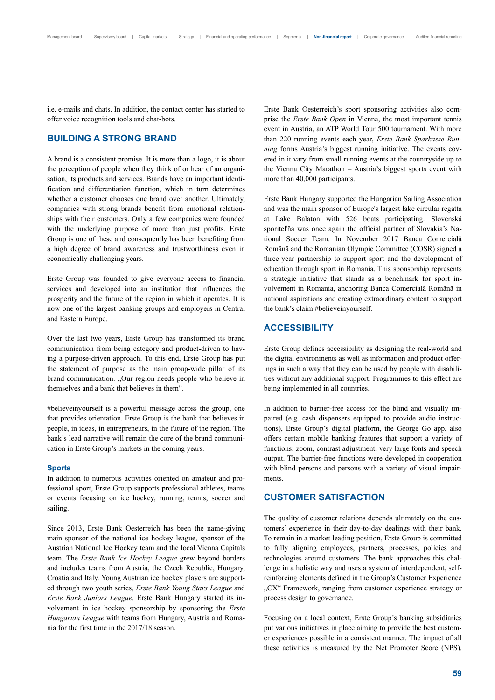i.e. e-mails and chats. In addition, the contact center has started to offer voice recognition tools and chat-bots.

# **BUILDING A STRONG BRAND**

A brand is a consistent promise. It is more than a logo, it is about the perception of people when they think of or hear of an organisation, its products and services. Brands have an important identification and differentiation function, which in turn determines whether a customer chooses one brand over another. Ultimately, companies with strong brands benefit from emotional relationships with their customers. Only a few companies were founded with the underlying purpose of more than just profits. Erste Group is one of these and consequently has been benefiting from a high degree of brand awareness and trustworthiness even in economically challenging years.

Erste Group was founded to give everyone access to financial services and developed into an institution that influences the prosperity and the future of the region in which it operates. It is now one of the largest banking groups and employers in Central and Eastern Europe.

Over the last two years, Erste Group has transformed its brand communication from being category and product-driven to having a purpose-driven approach. To this end, Erste Group has put the statement of purpose as the main group-wide pillar of its brand communication. "Our region needs people who believe in themselves and a bank that believes in them".

#believeinyourself is a powerful message across the group, one that provides orientation. Erste Group is the bank that believes in people, in ideas, in entrepreneurs, in the future of the region. The bank's lead narrative will remain the core of the brand communication in Erste Group's markets in the coming years.

#### **Sports**

In addition to numerous activities oriented on amateur and professional sport, Erste Group supports professional athletes, teams or events focusing on ice hockey, running, tennis, soccer and sailing.

Since 2013, Erste Bank Oesterreich has been the name-giving main sponsor of the national ice hockey league, sponsor of the Austrian National Ice Hockey team and the local Vienna Capitals team. The *Erste Bank Ice Hockey League* grew beyond borders and includes teams from Austria, the Czech Republic, Hungary, Croatia and Italy. Young Austrian ice hockey players are supported through two youth series, *Erste Bank Young Stars League* and *Erste Bank Juniors League*. Erste Bank Hungary started its involvement in ice hockey sponsorship by sponsoring the *Erste Hungarian League* with teams from Hungary, Austria and Romania for the first time in the 2017/18 season.

Erste Bank Oesterreich's sport sponsoring activities also comprise the *Erste Bank Open* in Vienna, the most important tennis event in Austria, an ATP World Tour 500 tournament. With more than 220 running events each year, *Erste Bank Sparkasse Running* forms Austria's biggest running initiative. The events covered in it vary from small running events at the countryside up to the Vienna City Marathon – Austria's biggest sports event with more than 40,000 participants.

Erste Bank Hungary supported the Hungarian Sailing Association and was the main sponsor of Europe's largest lake circular regatta at Lake Balaton with 526 boats participating. Slovenská sporiteľňa was once again the official partner of Slovakia's National Soccer Team. In November 2017 Banca Comercială Română and the Romanian Olympic Committee (COSR) signed a three-year partnership to support sport and the development of education through sport in Romania. This sponsorship represents a strategic initiative that stands as a benchmark for sport involvement in Romania, anchoring Banca Comercială Română in national aspirations and creating extraordinary content to support the bank's claim #believeinyourself.

# **ACCESSIBILITY**

Erste Group defines accessibility as designing the real-world and the digital environments as well as information and product offerings in such a way that they can be used by people with disabilities without any additional support. Programmes to this effect are being implemented in all countries.

In addition to barrier-free access for the blind and visually impaired (e.g. cash dispensers equipped to provide audio instructions), Erste Group's digital platform, the George Go app, also offers certain mobile banking features that support a variety of functions: zoom, contrast adjustment, very large fonts and speech output. The barrier-free functions were developed in cooperation with blind persons and persons with a variety of visual impairments.

# **CUSTOMER SATISFACTION**

The quality of customer relations depends ultimately on the customers' experience in their day-to-day dealings with their bank. To remain in a market leading position, Erste Group is committed to fully aligning employees, partners, processes, policies and technologies around customers. The bank approaches this challenge in a holistic way and uses a system of interdependent, selfreinforcing elements defined in the Group's Customer Experience "CX" Framework, ranging from customer experience strategy or process design to governance.

Focusing on a local context, Erste Group's banking subsidiaries put various initiatives in place aiming to provide the best customer experiences possible in a consistent manner. The impact of all these activities is measured by the Net Promoter Score (NPS).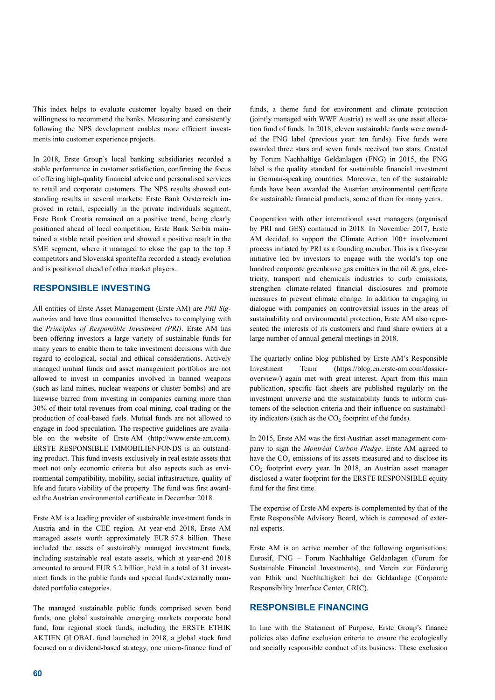This index helps to evaluate customer loyalty based on their willingness to recommend the banks. Measuring and consistently following the NPS development enables more efficient investments into customer experience projects.

In 2018, Erste Group's local banking subsidiaries recorded a stable performance in customer satisfaction, confirming the focus of offering high-quality financial advice and personalised services to retail and corporate customers. The NPS results showed outstanding results in several markets: Erste Bank Oesterreich improved in retail, especially in the private individuals segment, Erste Bank Croatia remained on a positive trend, being clearly positioned ahead of local competition, Erste Bank Serbia maintained a stable retail position and showed a positive result in the SME segment, where it managed to close the gap to the top 3 competitors and Slovenská sporiteľňa recorded a steady evolution and is positioned ahead of other market players.

# **RESPONSIBLE INVESTING**

All entities of Erste Asset Management (Erste AM) are *PRI Signatories* and have thus committed themselves to complying with the *Principles of Responsible Investment (PRI)*. Erste AM has been offering investors a large variety of sustainable funds for many years to enable them to take investment decisions with due regard to ecological, social and ethical considerations. Actively managed mutual funds and asset management portfolios are not allowed to invest in companies involved in banned weapons (such as land mines, nuclear weapons or cluster bombs) and are likewise barred from investing in companies earning more than 30% of their total revenues from coal mining, coal trading or the production of coal-based fuels. Mutual funds are not allowed to engage in food speculation. The respective guidelines are available on the website of Erste AM (http://www.erste-am.com). ERSTE RESPONSIBLE IMMOBILIENFONDS is an outstanding product. This fund invests exclusively in real estate assets that meet not only economic criteria but also aspects such as environmental compatibility, mobility, social infrastructure, quality of life and future viability of the property. The fund was first awarded the Austrian environmental certificate in December 2018.

Erste AM is a leading provider of sustainable investment funds in Austria and in the CEE region. At year-end 2018, Erste AM managed assets worth approximately EUR 57.8 billion. These included the assets of sustainably managed investment funds, including sustainable real estate assets, which at year-end 2018 amounted to around EUR 5.2 billion, held in a total of 31 investment funds in the public funds and special funds/externally mandated portfolio categories.

The managed sustainable public funds comprised seven bond funds, one global sustainable emerging markets corporate bond fund, four regional stock funds, including the ERSTE ETHIK AKTIEN GLOBAL fund launched in 2018, a global stock fund focused on a dividend-based strategy, one micro-finance fund of

funds, a theme fund for environment and climate protection (jointly managed with WWF Austria) as well as one asset allocation fund of funds. In 2018, eleven sustainable funds were awarded the FNG label (previous year: ten funds). Five funds were awarded three stars and seven funds received two stars. Created by Forum Nachhaltige Geldanlagen (FNG) in 2015, the FNG label is the quality standard for sustainable financial investment in German-speaking countries. Moreover, ten of the sustainable funds have been awarded the Austrian environmental certificate for sustainable financial products, some of them for many years.

Cooperation with other international asset managers (organised by PRI and GES) continued in 2018. In November 2017, Erste AM decided to support the Climate Action 100+ involvement process initiated by PRI as a founding member. This is a five-year initiative led by investors to engage with the world's top one hundred corporate greenhouse gas emitters in the oil & gas, electricity, transport and chemicals industries to curb emissions, strengthen climate-related financial disclosures and promote measures to prevent climate change. In addition to engaging in dialogue with companies on controversial issues in the areas of sustainability and environmental protection, Erste AM also represented the interests of its customers and fund share owners at a large number of annual general meetings in 2018.

The quarterly online blog published by Erste AM's Responsible Investment Team (https://blog.en.erste-am.com/dossieroverview/) again met with great interest. Apart from this main publication, specific fact sheets are published regularly on the investment universe and the sustainability funds to inform customers of the selection criteria and their influence on sustainability indicators (such as the  $CO<sub>2</sub>$  footprint of the funds).

In 2015, Erste AM was the first Austrian asset management company to sign the *Montréal Carbon Pledge*. Erste AM agreed to have the  $CO<sub>2</sub>$  emissions of its assets measured and to disclose its CO<sub>2</sub> footprint every year. In 2018, an Austrian asset manager disclosed a water footprint for the ERSTE RESPONSIBLE equity fund for the first time.

The expertise of Erste AM experts is complemented by that of the Erste Responsible Advisory Board, which is composed of external experts.

Erste AM is an active member of the following organisations: Eurosif, FNG – Forum Nachhaltige Geldanlagen (Forum for Sustainable Financial Investments), and Verein zur Förderung von Ethik und Nachhaltigkeit bei der Geldanlage (Corporate Responsibility Interface Center, CRIC).

# **RESPONSIBLE FINANCING**

In line with the Statement of Purpose, Erste Group's finance policies also define exclusion criteria to ensure the ecologically and socially responsible conduct of its business. These exclusion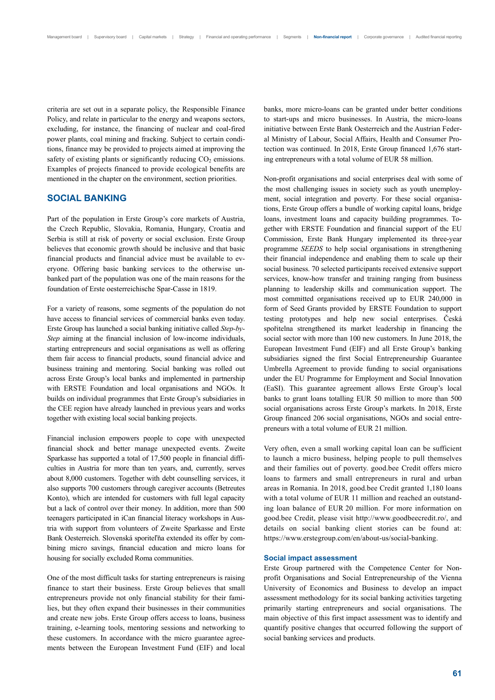criteria are set out in a separate policy, the Responsible Finance Policy, and relate in particular to the energy and weapons sectors, excluding, for instance, the financing of nuclear and coal-fired power plants, coal mining and fracking. Subject to certain conditions, finance may be provided to projects aimed at improving the safety of existing plants or significantly reducing  $CO<sub>2</sub>$  emissions. Examples of projects financed to provide ecological benefits are mentioned in the chapter on the environment, section priorities.

# **SOCIAL BANKING**

Part of the population in Erste Group's core markets of Austria, the Czech Republic, Slovakia, Romania, Hungary, Croatia and Serbia is still at risk of poverty or social exclusion. Erste Group believes that economic growth should be inclusive and that basic financial products and financial advice must be available to everyone. Offering basic banking services to the otherwise unbanked part of the population was one of the main reasons for the foundation of Erste oesterreichische Spar-Casse in 1819.

For a variety of reasons, some segments of the population do not have access to financial services of commercial banks even today. Erste Group has launched a social banking initiative called *Step-by-Step* aiming at the financial inclusion of low-income individuals, starting entrepreneurs and social organisations as well as offering them fair access to financial products, sound financial advice and business training and mentoring. Social banking was rolled out across Erste Group's local banks and implemented in partnership with ERSTE Foundation and local organisations and NGOs. It builds on individual programmes that Erste Group's subsidiaries in the CEE region have already launched in previous years and works together with existing local social banking projects.

Financial inclusion empowers people to cope with unexpected financial shock and better manage unexpected events. Zweite Sparkasse has supported a total of 17,500 people in financial difficulties in Austria for more than ten years, and, currently, serves about 8,000 customers. Together with debt counselling services, it also supports 700 customers through caregiver accounts (Betreutes Konto), which are intended for customers with full legal capacity but a lack of control over their money. In addition, more than 500 teenagers participated in iCan financial literacy workshops in Austria with support from volunteers of Zweite Sparkasse and Erste Bank Oesterreich. Slovenská sporiteľňa extended its offer by combining micro savings, financial education and micro loans for housing for socially excluded Roma communities.

One of the most difficult tasks for starting entrepreneurs is raising finance to start their business. Erste Group believes that small entrepreneurs provide not only financial stability for their families, but they often expand their businesses in their communities and create new jobs. Erste Group offers access to loans, business training, e-learning tools, mentoring sessions and networking to these customers. In accordance with the micro guarantee agreements between the European Investment Fund (EIF) and local banks, more micro-loans can be granted under better conditions to start-ups and micro businesses. In Austria, the micro-loans initiative between Erste Bank Oesterreich and the Austrian Federal Ministry of Labour, Social Affairs, Health and Consumer Protection was continued. In 2018, Erste Group financed 1,676 starting entrepreneurs with a total volume of EUR 58 million.

Non-profit organisations and social enterprises deal with some of the most challenging issues in society such as youth unemployment, social integration and poverty. For these social organisations, Erste Group offers a bundle of working capital loans, bridge loans, investment loans and capacity building programmes. Together with ERSTE Foundation and financial support of the EU Commission, Erste Bank Hungary implemented its three-year programme *SEEDS* to help social organisations in strengthening their financial independence and enabling them to scale up their social business. 70 selected participants received extensive support services, know-how transfer and training ranging from business planning to leadership skills and communication support. The most committed organisations received up to EUR 240,000 in form of Seed Grants provided by ERSTE Foundation to support testing prototypes and help new social enterprises. Česká spořitelna strengthened its market leadership in financing the social sector with more than 100 new customers. In June 2018, the European Investment Fund (EIF) and all Erste Group's banking subsidiaries signed the first Social Entrepreneurship Guarantee Umbrella Agreement to provide funding to social organisations under the EU Programme for Employment and Social Innovation (EaSI). This guarantee agreement allows Erste Group's local banks to grant loans totalling EUR 50 million to more than 500 social organisations across Erste Group's markets. In 2018, Erste Group financed 206 social organisations, NGOs and social entrepreneurs with a total volume of EUR 21 million.

Very often, even a small working capital loan can be sufficient to launch a micro business, helping people to pull themselves and their families out of poverty. good.bee Credit offers micro loans to farmers and small entrepreneurs in rural and urban areas in Romania. In 2018, good.bee Credit granted 1,180 loans with a total volume of EUR 11 million and reached an outstanding loan balance of EUR 20 million. For more information on good.bee Credit, please visit http://www.goodbeecredit.ro/, and details on social banking client stories can be found at: https://www.erstegroup.com/en/about-us/social-banking.

#### **Social impact assessment**

Erste Group partnered with the Competence Center for Nonprofit Organisations and Social Entrepreneurship of the Vienna University of Economics and Business to develop an impact assessment methodology for its social banking activities targeting primarily starting entrepreneurs and social organisations. The main objective of this first impact assessment was to identify and quantify positive changes that occurred following the support of social banking services and products.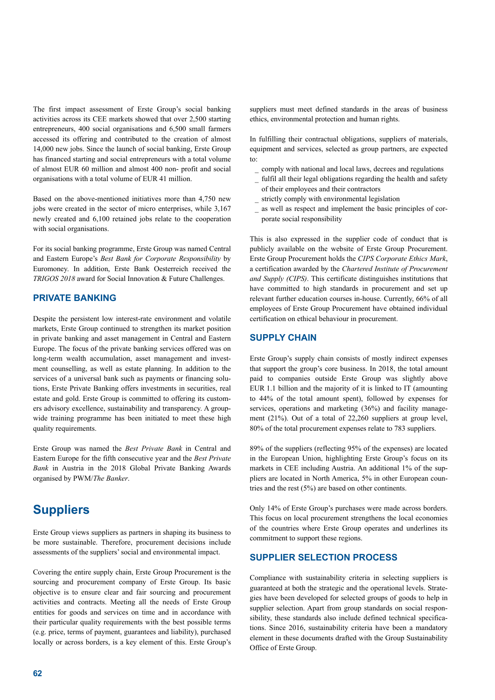The first impact assessment of Erste Group's social banking activities across its CEE markets showed that over 2,500 starting entrepreneurs, 400 social organisations and 6,500 small farmers accessed its offering and contributed to the creation of almost 14,000 new jobs. Since the launch of social banking, Erste Group has financed starting and social entrepreneurs with a total volume of almost EUR 60 million and almost 400 non- profit and social organisations with a total volume of EUR 41 million.

Based on the above-mentioned initiatives more than 4,750 new jobs were created in the sector of micro enterprises, while 3,167 newly created and 6,100 retained jobs relate to the cooperation with social organisations.

For its social banking programme, Erste Group was named Central and Eastern Europe's *Best Bank for Corporate Responsibility* by Euromoney. In addition, Erste Bank Oesterreich received the *TRIGOS 2018* award for Social Innovation & Future Challenges.

# **PRIVATE BANKING**

Despite the persistent low interest-rate environment and volatile markets, Erste Group continued to strengthen its market position in private banking and asset management in Central and Eastern Europe. The focus of the private banking services offered was on long-term wealth accumulation, asset management and investment counselling, as well as estate planning. In addition to the services of a universal bank such as payments or financing solutions, Erste Private Banking offers investments in securities, real estate and gold. Erste Group is committed to offering its customers advisory excellence, sustainability and transparency. A groupwide training programme has been initiated to meet these high quality requirements.

Erste Group was named the *Best Private Bank* in Central and Eastern Europe for the fifth consecutive year and the *Best Private Bank* in Austria in the 2018 Global Private Banking Awards organised by PWM/*The Banker*.

# **Suppliers**

Erste Group views suppliers as partners in shaping its business to be more sustainable. Therefore, procurement decisions include assessments of the suppliers' social and environmental impact.

Covering the entire supply chain, Erste Group Procurement is the sourcing and procurement company of Erste Group. Its basic objective is to ensure clear and fair sourcing and procurement activities and contracts. Meeting all the needs of Erste Group entities for goods and services on time and in accordance with their particular quality requirements with the best possible terms (e.g. price, terms of payment, guarantees and liability), purchased locally or across borders, is a key element of this. Erste Group's

suppliers must meet defined standards in the areas of business ethics, environmental protection and human rights.

In fulfilling their contractual obligations, suppliers of materials, equipment and services, selected as group partners, are expected to:

- comply with national and local laws, decrees and regulations
- fulfil all their legal obligations regarding the health and safety of their employees and their contractors
- strictly comply with environmental legislation
- as well as respect and implement the basic principles of corporate social responsibility

This is also expressed in the supplier code of conduct that is publicly available on the website of Erste Group Procurement. Erste Group Procurement holds the *CIPS Corporate Ethics Mark*, a certification awarded by the *Chartered Institute of Procurement and Supply (CIPS)*. This certificate distinguishes institutions that have committed to high standards in procurement and set up relevant further education courses in-house. Currently, 66% of all employees of Erste Group Procurement have obtained individual certification on ethical behaviour in procurement.

### **SUPPLY CHAIN**

Erste Group's supply chain consists of mostly indirect expenses that support the group's core business. In 2018, the total amount paid to companies outside Erste Group was slightly above EUR 1.1 billion and the majority of it is linked to IT (amounting to 44% of the total amount spent), followed by expenses for services, operations and marketing (36%) and facility management (21%). Out of a total of 22,260 suppliers at group level, 80% of the total procurement expenses relate to 783 suppliers.

89% of the suppliers (reflecting 95% of the expenses) are located in the European Union, highlighting Erste Group's focus on its markets in CEE including Austria. An additional 1% of the suppliers are located in North America, 5% in other European countries and the rest (5%) are based on other continents.

Only 14% of Erste Group's purchases were made across borders. This focus on local procurement strengthens the local economies of the countries where Erste Group operates and underlines its commitment to support these regions.

# **SUPPLIER SELECTION PROCESS**

Compliance with sustainability criteria in selecting suppliers is guaranteed at both the strategic and the operational levels. Strategies have been developed for selected groups of goods to help in supplier selection. Apart from group standards on social responsibility, these standards also include defined technical specifications. Since 2016, sustainability criteria have been a mandatory element in these documents drafted with the Group Sustainability Office of Erste Group.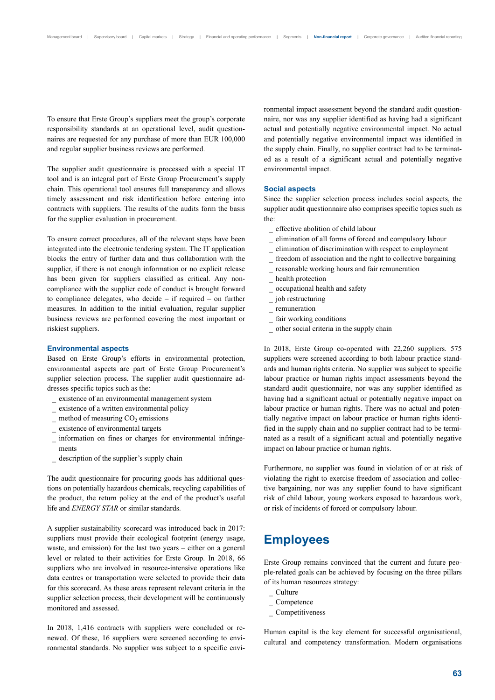To ensure that Erste Group's suppliers meet the group's corporate responsibility standards at an operational level, audit questionnaires are requested for any purchase of more than EUR 100,000 and regular supplier business reviews are performed.

The supplier audit questionnaire is processed with a special IT tool and is an integral part of Erste Group Procurement's supply chain. This operational tool ensures full transparency and allows timely assessment and risk identification before entering into contracts with suppliers. The results of the audits form the basis for the supplier evaluation in procurement.

To ensure correct procedures, all of the relevant steps have been integrated into the electronic tendering system. The IT application blocks the entry of further data and thus collaboration with the supplier, if there is not enough information or no explicit release has been given for suppliers classified as critical. Any noncompliance with the supplier code of conduct is brought forward to compliance delegates, who decide – if required – on further measures. In addition to the initial evaluation, regular supplier business reviews are performed covering the most important or riskiest suppliers.

#### **Environmental aspects**

Based on Erste Group's efforts in environmental protection, environmental aspects are part of Erste Group Procurement's supplier selection process. The supplier audit questionnaire addresses specific topics such as the:

- \_ existence of an environmental management system
- existence of a written environmental policy
- method of measuring  $CO<sub>2</sub>$  emissions
- existence of environmental targets
- information on fines or charges for environmental infringements
- \_ description of the supplier's supply chain

The audit questionnaire for procuring goods has additional questions on potentially hazardous chemicals, recycling capabilities of the product, the return policy at the end of the product's useful life and *ENERGY STAR* or similar standards.

A supplier sustainability scorecard was introduced back in 2017: suppliers must provide their ecological footprint (energy usage, waste, and emission) for the last two years – either on a general level or related to their activities for Erste Group. In 2018, 66 suppliers who are involved in resource-intensive operations like data centres or transportation were selected to provide their data for this scorecard. As these areas represent relevant criteria in the supplier selection process, their development will be continuously monitored and assessed.

In 2018, 1,416 contracts with suppliers were concluded or renewed. Of these, 16 suppliers were screened according to environmental standards. No supplier was subject to a specific environmental impact assessment beyond the standard audit questionnaire, nor was any supplier identified as having had a significant actual and potentially negative environmental impact. No actual and potentially negative environmental impact was identified in the supply chain. Finally, no supplier contract had to be terminated as a result of a significant actual and potentially negative environmental impact.

#### **Social aspects**

Since the supplier selection process includes social aspects, the supplier audit questionnaire also comprises specific topics such as the:

- \_ effective abolition of child labour
- \_ elimination of all forms of forced and compulsory labour
- \_ elimination of discrimination with respect to employment
- freedom of association and the right to collective bargaining
- reasonable working hours and fair remuneration
- health protection
- \_ occupational health and safety
- \_ job restructuring
- \_ remuneration
- fair working conditions
- \_ other social criteria in the supply chain

In 2018, Erste Group co-operated with 22,260 suppliers. 575 suppliers were screened according to both labour practice standards and human rights criteria. No supplier was subject to specific labour practice or human rights impact assessments beyond the standard audit questionnaire, nor was any supplier identified as having had a significant actual or potentially negative impact on labour practice or human rights. There was no actual and potentially negative impact on labour practice or human rights identified in the supply chain and no supplier contract had to be terminated as a result of a significant actual and potentially negative impact on labour practice or human rights.

Furthermore, no supplier was found in violation of or at risk of violating the right to exercise freedom of association and collective bargaining, nor was any supplier found to have significant risk of child labour, young workers exposed to hazardous work, or risk of incidents of forced or compulsory labour.

# **Employees**

Erste Group remains convinced that the current and future people-related goals can be achieved by focusing on the three pillars of its human resources strategy:

- \_ Culture
- $\overline{\phantom{a}}$  Competence
- \_ Competitiveness

Human capital is the key element for successful organisational, cultural and competency transformation. Modern organisations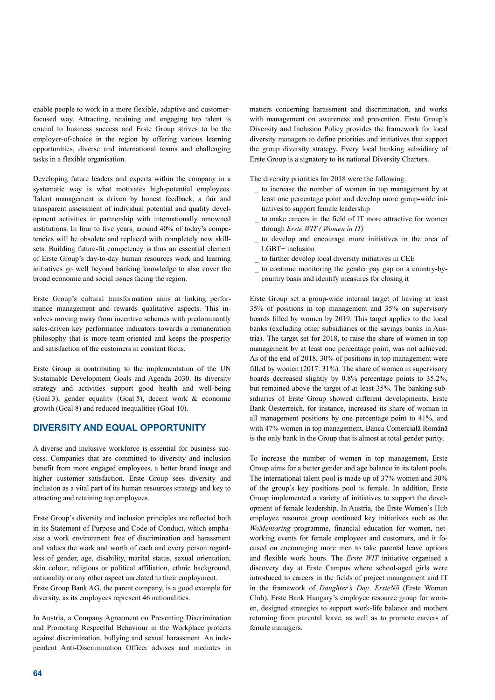enable people to work in a more flexible, adaptive and customerfocused way. Attracting, retaining and engaging top talent is crucial to business success and Erste Group strives to be the employer-of-choice in the region by offering various learning opportunities, diverse and international teams and challenging tasks in a flexible organisation.

Developing future leaders and experts within the company in a systematic way is what motivates high-potential employees. Talent management is driven by honest feedback, a fair and transparent assessment of individual potential and quality development activities in partnership with internationally renowned institutions. In four to five years, around 40% of today's competencies will be obsolete and replaced with completely new skillsets. Building future-fit competency is thus an essential element of Erste Group's day-to-day human resources work and learning initiatives go well beyond banking knowledge to also cover the broad economic and social issues facing the region.

Erste Group's cultural transformation aims at linking performance management and rewards qualitative aspects. This involves moving away from incentive schemes with predominantly sales-driven key performance indicators towards a remuneration philosophy that is more team-oriented and keeps the prosperity and satisfaction of the customers in constant focus.

Erste Group is contributing to the implementation of the UN Sustainable Development Goals and Agenda 2030. Its diversity strategy and activities support good health and well-being (Goal 3), gender equality (Goal 5), decent work & economic growth (Goal 8) and reduced inequalities (Goal 10).

# **DIVERSITY AND EQUAL OPPORTUNITY**

A diverse and inclusive workforce is essential for business success. Companies that are committed to diversity and inclusion benefit from more engaged employees, a better brand image and higher customer satisfaction. Erste Group sees diversity and inclusion as a vital part of its human resources strategy and key to attracting and retaining top employees.

Erste Group's diversity and inclusion principles are reflected both in its Statement of Purpose and Code of Conduct, which emphasise a work environment free of discrimination and harassment and values the work and worth of each and every person regardless of gender, age, disability, marital status, sexual orientation, skin colour, religious or political affiliation, ethnic background, nationality or any other aspect unrelated to their employment. Erste Group Bank AG, the parent company, is a good example for diversity, as its employees represent 46 nationalities.

In Austria, a Company Agreement on Preventing Discrimination and Promoting Respectful Behaviour in the Workplace protects against discrimination, bullying and sexual harassment. An independent Anti-Discrimination Officer advises and mediates in

matters concerning harassment and discrimination, and works with management on awareness and prevention. Erste Group's Diversity and Inclusion Policy provides the framework for local diversity managers to define priorities and initiatives that support the group diversity strategy. Every local banking subsidiary of Erste Group is a signatory to its national Diversity Charters.

The diversity priorities for 2018 were the following:

- \_ to increase the number of women in top management by at least one percentage point and develop more group-wide initiatives to support female leadership
- \_ to make careers in the field of IT more attractive for women through *Erste WIT ( Women in IT)*
- \_ to develop and encourage more initiatives in the area of LGBT+ inclusion
- to further develop local diversity initiatives in CEE
- to continue monitoring the gender pay gap on a country-bycountry basis and identify measures for closing it

Erste Group set a group-wide internal target of having at least 35% of positions in top management and 35% on supervisory boards filled by women by 2019. This target applies to the local banks (excluding other subsidiaries or the savings banks in Austria). The target set for 2018, to raise the share of women in top management by at least one percentage point, was not achieved: As of the end of 2018, 30% of positions in top management were filled by women (2017: 31%). The share of women in supervisory boards decreased slightly by 0.8% percentage points to 35.2%, but remained above the target of at least 35%. The banking subsidiaries of Erste Group showed different developments. Erste Bank Oesterreich, for instance, increased its share of woman in all management positions by one percentage point to 41%, and with 47% women in top management, Banca Comercială Română is the only bank in the Group that is almost at total gender parity.

To increase the number of women in top management, Erste Group aims for a better gender and age balance in its talent pools. The international talent pool is made up of 37% women and 30% of the group's key positions pool is female. In addition, Erste Group implemented a variety of initiatives to support the development of female leadership. In Austria, the Erste Women's Hub employee resource group continued key initiatives such as the *WoMentoring* programme, financial education for women, networking events for female employees and customers, and it focused on encouraging more men to take parental leave options and flexible work hours. The *Erste WIT* initiative organised a discovery day at Erste Campus where school-aged girls were introduced to careers in the fields of project management and IT in the framework of *Daughter's Day*. *ErsteNő* (Erste Women Club), Erste Bank Hungary's employee resource group for women, designed strategies to support work-life balance and mothers returning from parental leave, as well as to promote careers of female managers.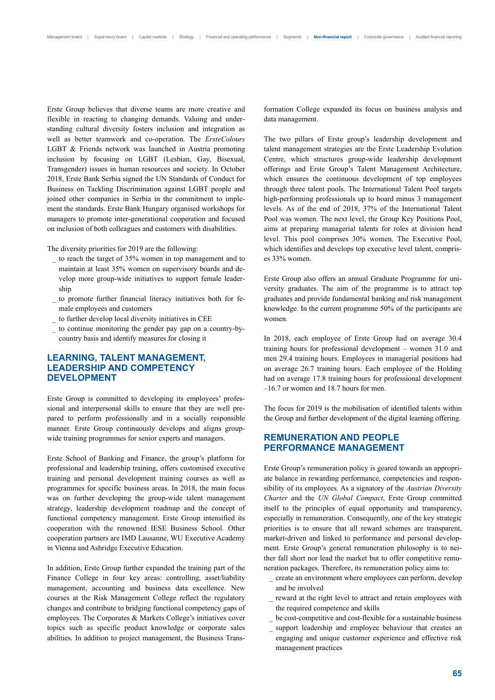Erste Group believes that diverse teams are more creative and flexible in reacting to changing demands. Valuing and understanding cultural diversity fosters inclusion and integration as well as better teamwork and co-operation. The *ErsteColours*  LGBT & Friends network was launched in Austria promoting inclusion by focusing on LGBT (Lesbian, Gay, Bisexual, Transgender) issues in human resources and society. In October 2018, Erste Bank Serbia signed the UN Standards of Conduct for Business on Tackling Discrimination against LGBT people and joined other companies in Serbia in the commitment to implement the standards. Erste Bank Hungary organised workshops for managers to promote inter-generational cooperation and focused on inclusion of both colleagues and customers with disabilities.

The diversity priorities for 2019 are the following:

- to reach the target of 35% women in top management and to maintain at least 35% women on supervisory boards and develop more group-wide initiatives to support female leadership
- to promote further financial literacy initiatives both for female employees and customers
- to further develop local diversity initiatives in CEE
- to continue monitoring the gender pay gap on a country-bycountry basis and identify measures for closing it

# **LEARNING, TALENT MANAGEMENT, LEADERSHIP AND COMPETENCY DEVELOPMENT**

Erste Group is committed to developing its employees' professional and interpersonal skills to ensure that they are well prepared to perform professionally and in a socially responsible manner. Erste Group continuously develops and aligns groupwide training programmes for senior experts and managers.

Erste School of Banking and Finance, the group's platform for professional and leadership training, offers customised executive training and personal development training courses as well as programmes for specific business areas. In 2018, the main focus was on further developing the group-wide talent management strategy, leadership development roadmap and the concept of functional competency management. Erste Group intensified its cooperation with the renowned IESE Business School. Other cooperation partners are IMD Lausanne, WU Executive Academy in Vienna and Ashridge Executive Education.

In addition, Erste Group further expanded the training part of the Finance College in four key areas: controlling, asset/liability management, accounting and business data excellence. New courses at the Risk Management College reflect the regulatory changes and contribute to bridging functional competency gaps of employees. The Corporates & Markets College's initiatives cover topics such as specific product knowledge or corporate sales abilities. In addition to project management, the Business Transformation College expanded its focus on business analysis and data management.

The two pillars of Erste group's leadership development and talent management strategies are the Erste Leadership Evolution Centre, which structures group-wide leadership development offerings and Erste Group's Talent Management Architecture, which ensures the continuous development of top employees through three talent pools. The International Talent Pool targets high-performing professionals up to board minus 3 management levels. As of the end of 2018, 37% of the International Talent Pool was women. The next level, the Group Key Positions Pool, aims at preparing managerial talents for roles at division head level. This pool comprises 30% women. The Executive Pool, which identifies and develops top executive level talent, comprises 33% women.

Erste Group also offers an annual Graduate Programme for university graduates. The aim of the programme is to attract top graduates and provide fundamental banking and risk management knowledge. In the current programme 50% of the participants are women.

In 2018, each employee of Erste Group had on average 30.4 training hours for professional development – women 31.0 and men 29.4 training hours. Employees in managerial positions had on average 26.7 training hours. Each employee of the Holding had on average 17.8 training hours for professional development –16.7 or women and 18.7 hours for men.

The focus for 2019 is the mobilisation of identified talents within the Group and further development of the digital learning offering.

### **REMUNERATION AND PEOPLE PERFORMANCE MANAGEMENT**

Erste Group's remuneration policy is geared towards an appropriate balance in rewarding performance, competencies and responsibility of its employees. As a signatory of the *Austrian Diversity Charter* and the *UN Global Compact*, Erste Group committed itself to the principles of equal opportunity and transparency, especially in remuneration. Consequently, one of the key strategic priorities is to ensure that all reward schemes are transparent, market-driven and linked to performance and personal development. Erste Group's general remuneration philosophy is to neither fall short nor lead the market but to offer competitive remuneration packages. Therefore, its remuneration policy aims to:

- \_ create an environment where employees can perform, develop and be involved
- reward at the right level to attract and retain employees with the required competence and skills
- be cost-competitive and cost-flexible for a sustainable business
- support leadership and employee behaviour that creates an engaging and unique customer experience and effective risk management practices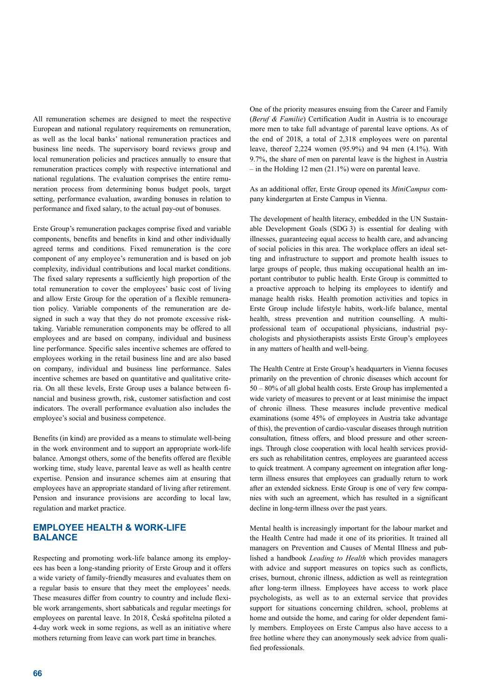All remuneration schemes are designed to meet the respective European and national regulatory requirements on remuneration, as well as the local banks' national remuneration practices and business line needs. The supervisory board reviews group and local remuneration policies and practices annually to ensure that remuneration practices comply with respective international and national regulations. The evaluation comprises the entire remuneration process from determining bonus budget pools, target setting, performance evaluation, awarding bonuses in relation to performance and fixed salary, to the actual pay-out of bonuses.

Erste Group's remuneration packages comprise fixed and variable components, benefits and benefits in kind and other individually agreed terms and conditions. Fixed remuneration is the core component of any employee's remuneration and is based on job complexity, individual contributions and local market conditions. The fixed salary represents a sufficiently high proportion of the total remuneration to cover the employees' basic cost of living and allow Erste Group for the operation of a flexible remuneration policy. Variable components of the remuneration are designed in such a way that they do not promote excessive risktaking. Variable remuneration components may be offered to all employees and are based on company, individual and business line performance. Specific sales incentive schemes are offered to employees working in the retail business line and are also based on company, individual and business line performance. Sales incentive schemes are based on quantitative and qualitative criteria. On all these levels, Erste Group uses a balance between financial and business growth, risk, customer satisfaction and cost indicators. The overall performance evaluation also includes the employee's social and business competence.

Benefits (in kind) are provided as a means to stimulate well-being in the work environment and to support an appropriate work-life balance. Amongst others, some of the benefits offered are flexible working time, study leave, parental leave as well as health centre expertise. Pension and insurance schemes aim at ensuring that employees have an appropriate standard of living after retirement. Pension and insurance provisions are according to local law, regulation and market practice.

# **EMPLOYEE HEALTH & WORK-LIFE BALANCE**

Respecting and promoting work-life balance among its employees has been a long-standing priority of Erste Group and it offers a wide variety of family-friendly measures and evaluates them on a regular basis to ensure that they meet the employees' needs. These measures differ from country to country and include flexible work arrangements, short sabbaticals and regular meetings for employees on parental leave. In 2018, Česká spořitelna piloted a 4-day work week in some regions, as well as an initiative where mothers returning from leave can work part time in branches.

One of the priority measures ensuing from the Career and Family (*Beruf & Familie*) Certification Audit in Austria is to encourage more men to take full advantage of parental leave options. As of the end of 2018, a total of 2,318 employees were on parental leave, thereof 2,224 women (95.9%) and 94 men (4.1%). With 9.7%, the share of men on parental leave is the highest in Austria  $-$  in the Holding 12 men (21.1%) were on parental leave.

As an additional offer, Erste Group opened its *MiniCampus* company kindergarten at Erste Campus in Vienna.

The development of health literacy, embedded in the UN Sustainable Development Goals (SDG 3) is essential for dealing with illnesses, guaranteeing equal access to health care, and advancing of social policies in this area. The workplace offers an ideal setting and infrastructure to support and promote health issues to large groups of people, thus making occupational health an important contributor to public health. Erste Group is committed to a proactive approach to helping its employees to identify and manage health risks. Health promotion activities and topics in Erste Group include lifestyle habits, work-life balance, mental health, stress prevention and nutrition counselling. A multiprofessional team of occupational physicians, industrial psychologists and physiotherapists assists Erste Group's employees in any matters of health and well-being.

The Health Centre at Erste Group's headquarters in Vienna focuses primarily on the prevention of chronic diseases which account for 50 – 80% of all global health costs. Erste Group has implemented a wide variety of measures to prevent or at least minimise the impact of chronic illness. These measures include preventive medical examinations (some 45% of employees in Austria take advantage of this), the prevention of cardio-vascular diseases through nutrition consultation, fitness offers, and blood pressure and other screenings. Through close cooperation with local health services providers such as rehabilitation centres, employees are guaranteed access to quick treatment. A company agreement on integration after longterm illness ensures that employees can gradually return to work after an extended sickness. Erste Group is one of very few companies with such an agreement, which has resulted in a significant decline in long-term illness over the past years.

Mental health is increasingly important for the labour market and the Health Centre had made it one of its priorities. It trained all managers on Prevention and Causes of Mental Illness and published a handbook *Leading to Health* which provides managers with advice and support measures on topics such as conflicts, crises, burnout, chronic illness, addiction as well as reintegration after long-term illness. Employees have access to work place psychologists, as well as to an external service that provides support for situations concerning children, school, problems at home and outside the home, and caring for older dependent family members. Employees on Erste Campus also have access to a free hotline where they can anonymously seek advice from qualified professionals.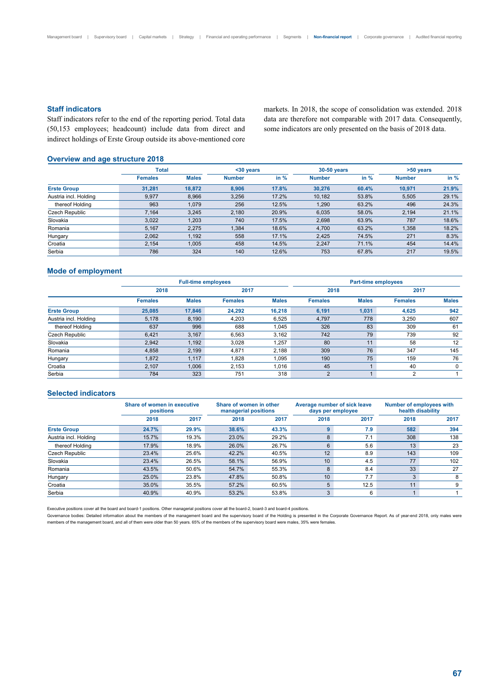#### **Staff indicators**

Staff indicators refer to the end of the reporting period. Total data (50,153 employees; headcount) include data from direct and indirect holdings of Erste Group outside its above-mentioned core markets. In 2018, the scope of consolidation was extended. 2018 data are therefore not comparable with 2017 data. Consequently, some indicators are only presented on the basis of 2018 data.

# **Overview and age structure 2018**

|                       | Total          |              | $30$ years    |        | 30-50 years   |        | >50 years     |        |
|-----------------------|----------------|--------------|---------------|--------|---------------|--------|---------------|--------|
|                       | <b>Females</b> | <b>Males</b> | <b>Number</b> | in $%$ | <b>Number</b> | in $%$ | <b>Number</b> | in $%$ |
| <b>Erste Group</b>    | 31.281         | 18.872       | 8.906         | 17.8%  | 30.276        | 60.4%  | 10.971        | 21.9%  |
| Austria incl. Holding | 9,977          | 8,966        | 3,256         | 17.2%  | 10,182        | 53.8%  | 5,505         | 29.1%  |
| thereof Holding       | 963            | 1,079        | 256           | 12.5%  | 1,290         | 63.2%  | 496           | 24.3%  |
| Czech Republic        | 7.164          | 3,245        | 2,180         | 20.9%  | 6,035         | 58.0%  | 2,194         | 21.1%  |
| Slovakia              | 3,022          | 1,203        | 740           | 17.5%  | 2,698         | 63.9%  | 787           | 18.6%  |
| Romania               | 5,167          | 2.275        | 1,384         | 18.6%  | 4,700         | 63.2%  | 1,358         | 18.2%  |
| Hungary               | 2,062          | 1,192        | 558           | 17.1%  | 2,425         | 74.5%  | 271           | 8.3%   |
| Croatia               | 2,154          | 1,005        | 458           | 14.5%  | 2,247         | 71.1%  | 454           | 14.4%  |
| Serbia                | 786            | 324          | 140           | 12.6%  | 753           | 67.8%  | 217           | 19.5%  |

### **Mode of employment**

|                       |                | <b>Full-time employees</b> |                | <b>Part-time employees</b> |                |                |                |              |
|-----------------------|----------------|----------------------------|----------------|----------------------------|----------------|----------------|----------------|--------------|
|                       | 2018           |                            | 2017           |                            |                |                | 2017           |              |
|                       | <b>Females</b> | <b>Males</b>               | <b>Females</b> | <b>Males</b>               | <b>Females</b> | <b>Males</b>   | <b>Females</b> | <b>Males</b> |
| <b>Erste Group</b>    | 25,085         | 17,846                     | 24.292         | 16.218                     | 6,191          | 1,031          | 4,625          | 942          |
| Austria incl. Holding | 5,178          | 8,190                      | 4,203          | 6,525                      | 4,797          | 778            | 3,250          | 607          |
| thereof Holding       | 637            | 996                        | 688            | 1.045                      | 326            | 83             | 309            | 61           |
| Czech Republic        | 6,421          | 3,167                      | 6,563          | 3.162                      | 742            | 79             | 739            | 92           |
| Slovakia              | 2,942          | 1,192                      | 3,028          | 1,257                      | 80             | 11             | 58             | 12           |
| Romania               | 4,858          | 2,199                      | 4,871          | 2,188                      | 309            | 76             | 347            | 145          |
| Hungary               | 1,872          | 1,117                      | 1,828          | 1,095                      | 190            | 75             | 159            | 76           |
| Croatia               | 2,107          | 1,006                      | 2,153          | 1,016                      | 45             | $\overline{A}$ | 40             | 0            |
| Serbia                | 784            | 323                        | 751            | 318                        | 2              |                | $\overline{2}$ |              |

#### **Selected indicators**

| <u>Jeiecteu Indicaturs</u> |                                          |       |       |                                                 |      |                                                   |                                                      |      |  |
|----------------------------|------------------------------------------|-------|-------|-------------------------------------------------|------|---------------------------------------------------|------------------------------------------------------|------|--|
|                            | Share of women in executive<br>positions |       |       | Share of women in other<br>managerial positions |      | Average number of sick leave<br>days per employee | <b>Number of employees with</b><br>health disability |      |  |
|                            | 2018                                     | 2017  | 2018  | 2017                                            | 2018 | 2017                                              | 2018                                                 | 2017 |  |
| <b>Erste Group</b>         | 24.7%                                    | 29.9% | 38.6% | 43.3%                                           | 9    | 7.9                                               | 582                                                  | 394  |  |
| Austria incl. Holding      | 15.7%                                    | 19.3% | 23.0% | 29.2%                                           | 8    | 7.1                                               | 308                                                  | 138  |  |
| thereof Holding            | 17.9%                                    | 18.9% | 26.0% | 26.7%                                           | 6    | 5.6                                               | 13                                                   | 23   |  |
| Czech Republic             | 23.4%                                    | 25.6% | 42.2% | 40.5%                                           | 12   | 8.9                                               | 143                                                  | 109  |  |
| Slovakia                   | 23.4%                                    | 26.5% | 58.1% | 56.9%                                           | 10   | 4.5                                               | 77                                                   | 102  |  |
| Romania                    | 43.5%                                    | 50.6% | 54.7% | 55.3%                                           | 8    | 8.4                                               | 33                                                   | 27   |  |
| Hungary                    | 25.0%                                    | 23.8% | 47.8% | 50.8%                                           | 10   | 7.7                                               | 3                                                    | 8    |  |
| Croatia                    | 35.0%                                    | 35.5% | 57.2% | 60.5%                                           | 5    | 12.5                                              | 11                                                   | 9    |  |
| Serbia                     | 40.9%                                    | 40.9% | 53.2% | 53.8%                                           | 3    | 6                                                 |                                                      |      |  |

Executive positions cover all the board and board-1 positions. Other managerial positions cover all the board-2, board-3 and board-4 positions.

Governance bodies: Detailed information about the members of the management board and the supervisory board of the Holding is presented in the Corporate Governance Report. As of year-end 2018, only males were members of the management board, and all of them were older than 50 years. 65% of the members of the supervisory board were males, 35% were females.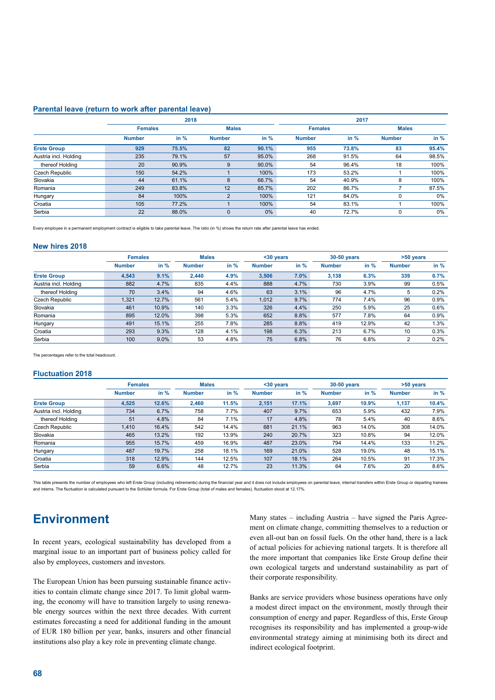#### **Parental leave (return to work after parental leave)**

|                       |                | 2018   |                |        | 2017          |                |               |        |  |
|-----------------------|----------------|--------|----------------|--------|---------------|----------------|---------------|--------|--|
|                       | <b>Females</b> |        | <b>Males</b>   |        |               | <b>Females</b> | <b>Males</b>  |        |  |
|                       | <b>Number</b>  | in $%$ | <b>Number</b>  | in $%$ | <b>Number</b> | in $%$         | <b>Number</b> | in $%$ |  |
| <b>Erste Group</b>    | 929            | 75.5%  | 82             | 90.1%  | 955           | 73.8%          | 83            | 95.4%  |  |
| Austria incl. Holding | 235            | 79.1%  | 57             | 95.0%  | 268           | 91.5%          | 64            | 98.5%  |  |
| thereof Holding       | 20             | 90.9%  | 9              | 90.0%  | 54            | 96.4%          | 18            | 100%   |  |
| Czech Republic        | 150            | 54.2%  |                | 100%   | 173           | 53.2%          |               | 100%   |  |
| Slovakia              | 44             | 61.1%  | 8              | 66.7%  | 54            | 40.9%          | 8             | 100%   |  |
| Romania               | 249            | 83.8%  | 12             | 85.7%  | 202           | 86.7%          |               | 87.5%  |  |
| Hungary               | 84             | 100%   | $\overline{2}$ | 100%   | 121           | 84.0%          | 0             | 0%     |  |
| Croatia               | 105            | 77.2%  |                | 100%   | 54            | 83.1%          |               | 100%   |  |
| Serbia                | 22             | 88.0%  | $\Omega$       | 0%     | 40            | 72.7%          | 0             | 0%     |  |

Every employee in a permanent employment contract is eligible to take parental leave. The ratio (in %) shows the return rate after parental leave has ended.

#### **New hires 2018**

| IVAN TIILAJ EA IA     |               |                |               |              |               |            |               |             |               |        |
|-----------------------|---------------|----------------|---------------|--------------|---------------|------------|---------------|-------------|---------------|--------|
|                       |               | <b>Females</b> |               | <b>Males</b> |               | $30$ years |               | 30-50 years | >50 years     |        |
|                       | <b>Number</b> | in $%$         | <b>Number</b> | in $%$       | <b>Number</b> | in $%$     | <b>Number</b> | in $%$      | <b>Number</b> | in $%$ |
| <b>Erste Group</b>    | 4,543         | 9.1%           | 2.440         | 4.9%         | 3.506         | 7.0%       | 3.138         | 6.3%        | 339           | 0.7%   |
| Austria incl. Holding | 882           | 4.7%           | 835           | 4.4%         | 888           | 4.7%       | 730           | 3.9%        | 99            | 0.5%   |
| thereof Holding       | 70            | 3.4%           | 94            | 4.6%         | 63            | 3.1%       | 96            | 4.7%        | 5             | 0.2%   |
| Czech Republic        | 1,321         | 12.7%          | 561           | 5.4%         | 1.012         | 9.7%       | 774           | 7.4%        | 96            | 0.9%   |
| Slovakia              | 461           | 10.9%          | 140           | 3.3%         | 326           | 4.4%       | 250           | 5.9%        | 25            | 0.6%   |
| Romania               | 895           | 12.0%          | 398           | 5.3%         | 652           | 8.8%       | 577           | 7.8%        | 64            | 0.9%   |
| Hungary               | 491           | 15.1%          | 255           | 7.8%         | 285           | 8.8%       | 419           | 12.9%       | 42            | 1.3%   |
| Croatia               | 293           | 9.3%           | 128           | 4.1%         | 198           | 6.3%       | 213           | 6.7%        | 10            | 0.3%   |
| Serbia                | 100           | $9.0\%$        | 53            | 4.8%         | 75            | 6.8%       | 76            | 6.8%        | 2             | 0.2%   |

The percentages refer to the total headcount.

#### **Fluctuation 2018**

|                       | <b>Females</b> |       |               | <b>Males</b><br><30 years |               |        | 30-50 years   |        | >50 years     |        |
|-----------------------|----------------|-------|---------------|---------------------------|---------------|--------|---------------|--------|---------------|--------|
|                       | <b>Number</b>  | in %  | <b>Number</b> | in $%$                    | <b>Number</b> | in $%$ | <b>Number</b> | in $%$ | <b>Number</b> | in $%$ |
| <b>Erste Group</b>    | 4,525          | 12.6% | 2.460         | 11.5%                     | 2.151         | 17.1%  | 3.697         | 10.9%  | 1.137         | 10.4%  |
| Austria incl. Holding | 734            | 6.7%  | 758           | 7.7%                      | 407           | 9.7%   | 653           | 5.9%   | 432           | 7.9%   |
| thereof Holding       | 51             | 4.8%  | 84            | 7.1%                      | 17            | 4.8%   | 78            | 5.4%   | 40            | 8.6%   |
| Czech Republic        | 1.410          | 16.4% | 542           | 14.4%                     | 681           | 21.1%  | 963           | 14.0%  | 308           | 14.0%  |
| Slovakia              | 465            | 13.2% | 192           | 13.9%                     | 240           | 20.7%  | 323           | 10.8%  | 94            | 12.0%  |
| Romania               | 955            | 15.7% | 459           | 16.9%                     | 487           | 23.0%  | 794           | 14.4%  | 133           | 11.2%  |
| Hungary               | 487            | 19.7% | 258           | 18.1%                     | 169           | 21.0%  | 528           | 19.0%  | 48            | 15.1%  |
| Croatia               | 318            | 12.9% | 144           | 12.5%                     | 107           | 18.1%  | 264           | 10.5%  | 91            | 17.3%  |
| Serbia                | 59             | 6.6%  | 48            | 12.7%                     | 23            | 11.3%  | 64            | 7.6%   | 20            | 8.6%   |

This table presents the number of employees who left Erste Group (including retirements) during the financial year and it does not include employees on parental leave, internal transfers within Erste Group or departing tra and interns. The fluctuation is calculated pursuant to the Schlüter formula. For Erste Group (total of males and females), fluctuation stood at 12.17%.

# **Environment**

In recent years, ecological sustainability has developed from a marginal issue to an important part of business policy called for also by employees, customers and investors.

The European Union has been pursuing sustainable finance activities to contain climate change since 2017. To limit global warming, the economy will have to transition largely to using renewable energy sources within the next three decades. With current estimates forecasting a need for additional funding in the amount of EUR 180 billion per year, banks, insurers and other financial institutions also play a key role in preventing climate change.

Many states – including Austria – have signed the Paris Agreement on climate change, committing themselves to a reduction or even all-out ban on fossil fuels. On the other hand, there is a lack of actual policies for achieving national targets. It is therefore all the more important that companies like Erste Group define their own ecological targets and understand sustainability as part of their corporate responsibility.

Banks are service providers whose business operations have only a modest direct impact on the environment, mostly through their consumption of energy and paper. Regardless of this, Erste Group recognises its responsibility and has implemented a group-wide environmental strategy aiming at minimising both its direct and indirect ecological footprint.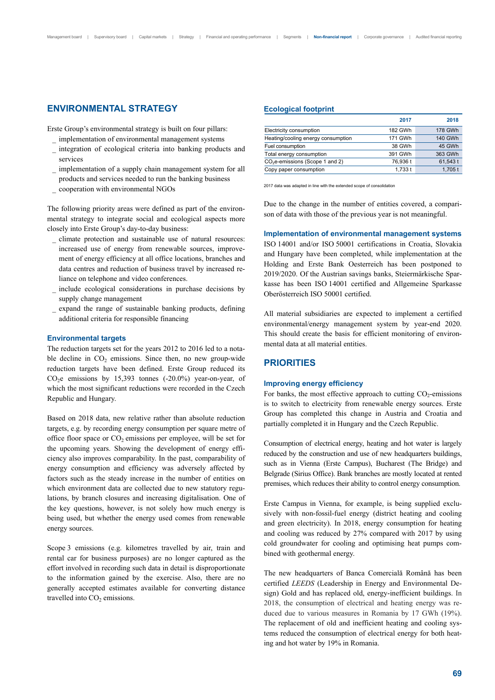# **ENVIRONMENTAL STRATEGY**

Erste Group's environmental strategy is built on four pillars:

- \_ implementation of environmental management systems
- \_ integration of ecological criteria into banking products and services
- implementation of a supply chain management system for all products and services needed to run the banking business
- \_ cooperation with environmental NGOs

The following priority areas were defined as part of the environmental strategy to integrate social and ecological aspects more closely into Erste Group's day-to-day business:

- \_ climate protection and sustainable use of natural resources: increased use of energy from renewable sources, improvement of energy efficiency at all office locations, branches and data centres and reduction of business travel by increased reliance on telephone and video conferences.
- include ecological considerations in purchase decisions by supply change management
- expand the range of sustainable banking products, defining additional criteria for responsible financing

#### **Environmental targets**

The reduction targets set for the years 2012 to 2016 led to a notable decline in  $CO<sub>2</sub>$  emissions. Since then, no new group-wide reduction targets have been defined. Erste Group reduced its CO<sub>2</sub>e emissions by 15,393 tonnes  $(-20.0\%)$  year-on-year, of which the most significant reductions were recorded in the Czech Republic and Hungary.

Based on 2018 data, new relative rather than absolute reduction targets, e.g. by recording energy consumption per square metre of office floor space or  $CO<sub>2</sub>$  emissions per employee, will be set for the upcoming years. Showing the development of energy efficiency also improves comparability. In the past, comparability of energy consumption and efficiency was adversely affected by factors such as the steady increase in the number of entities on which environment data are collected due to new statutory regulations, by branch closures and increasing digitalisation. One of the key questions, however, is not solely how much energy is being used, but whether the energy used comes from renewable energy sources.

Scope 3 emissions (e.g. kilometres travelled by air, train and rental car for business purposes) are no longer captured as the effort involved in recording such data in detail is disproportionate to the information gained by the exercise. Also, there are no generally accepted estimates available for converting distance travelled into  $CO<sub>2</sub>$  emissions.

#### **Ecological footprint**

|                                    | 2017     | 2018           |
|------------------------------------|----------|----------------|
| Electricity consumption            | 182 GWh  | <b>178 GWh</b> |
| Heating/cooling energy consumption | 171 GWh  | <b>140 GWh</b> |
| Fuel consumption                   | 38 GWh   | 45 GWh         |
| Total energy consumption           | 391 GWh  | 363 GWh        |
| $CO2e$ -emissions (Scope 1 and 2)  | 76.936 t | 61,543 t       |
| Copy paper consumption             | 1,733t   | $1,705$ t      |

2017 data was adapted in line with the extended scope of consolidation

Due to the change in the number of entities covered, a comparison of data with those of the previous year is not meaningful.

#### **Implementation of environmental management systems**

ISO 14001 and/or ISO 50001 certifications in Croatia, Slovakia and Hungary have been completed, while implementation at the Holding and Erste Bank Oesterreich has been postponed to 2019/2020. Of the Austrian savings banks, Steiermärkische Sparkasse has been ISO 14001 certified and Allgemeine Sparkasse Oberösterreich ISO 50001 certified.

All material subsidiaries are expected to implement a certified environmental/energy management system by year-end 2020. This should create the basis for efficient monitoring of environmental data at all material entities.

# **PRIORITIES**

#### **Improving energy efficiency**

For banks, the most effective approach to cutting  $CO<sub>2</sub>$ -emissions is to switch to electricity from renewable energy sources. Erste Group has completed this change in Austria and Croatia and partially completed it in Hungary and the Czech Republic.

Consumption of electrical energy, heating and hot water is largely reduced by the construction and use of new headquarters buildings, such as in Vienna (Erste Campus), Bucharest (The Bridge) and Belgrade (Sirius Office). Bank branches are mostly located at rented premises, which reduces their ability to control energy consumption.

Erste Campus in Vienna, for example, is being supplied exclusively with non-fossil-fuel energy (district heating and cooling and green electricity). In 2018, energy consumption for heating and cooling was reduced by 27% compared with 2017 by using cold groundwater for cooling and optimising heat pumps combined with geothermal energy.

The new headquarters of Banca Comercială Română has been certified *LEEDS* (Leadership in Energy and Environmental Design) Gold and has replaced old, energy-inefficient buildings. In 2018, the consumption of electrical and heating energy was reduced due to various measures in Romania by 17 GWh (19%). The replacement of old and inefficient heating and cooling systems reduced the consumption of electrical energy for both heating and hot water by 19% in Romania.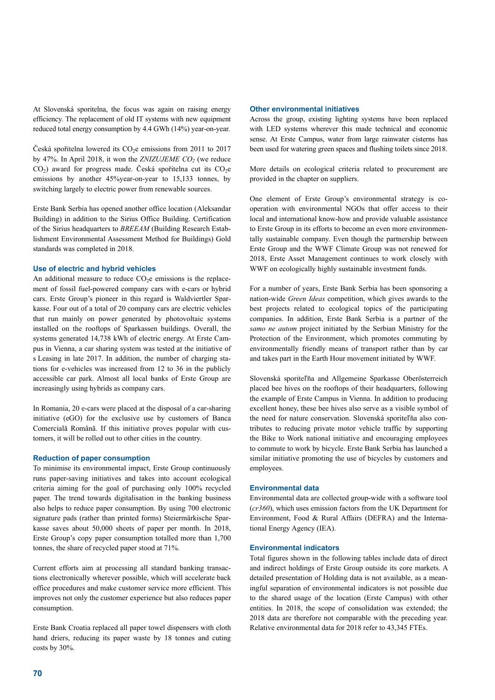At Slovenská sporitelna, the focus was again on raising energy efficiency. The replacement of old IT systems with new equipment reduced total energy consumption by 4.4 GWh (14%) year-on-year.

Česká spořitelna lowered its  $CO<sub>2</sub>e$  emissions from 2011 to 2017 by 47%. In April 2018, it won the *ZNIZUJEME CO<sub>2</sub>* (we reduce  $CO<sub>2</sub>$ ) award for progress made. Česká spořitelna cut its  $CO<sub>2</sub>e$ emissions by another 45%year-on-year to 15,133 tonnes, by switching largely to electric power from renewable sources.

Erste Bank Serbia has opened another office location (Aleksandar Building) in addition to the Sirius Office Building. Certification of the Sirius headquarters to *BREEAM* (Building Research Establishment Environmental Assessment Method for Buildings) Gold standards was completed in 2018.

#### **Use of electric and hybrid vehicles**

An additional measure to reduce  $CO<sub>2</sub>e$  emissions is the replacement of fossil fuel-powered company cars with e-cars or hybrid cars. Erste Group's pioneer in this regard is Waldviertler Sparkasse. Four out of a total of 20 company cars are electric vehicles that run mainly on power generated by photovoltaic systems installed on the rooftops of Sparkassen buildings. Overall, the systems generated 14,738 kWh of electric energy. At Erste Campus in Vienna, a car sharing system was tested at the initiative of s Leasing in late 2017. In addition, the number of charging stations for e-vehicles was increased from 12 to 36 in the publicly accessible car park. Almost all local banks of Erste Group are increasingly using hybrids as company cars.

In Romania, 20 e-cars were placed at the disposal of a car-sharing initiative (eGO) for the exclusive use by customers of Banca Comercială Română. If this initiative proves popular with customers, it will be rolled out to other cities in the country.

#### **Reduction of paper consumption**

To minimise its environmental impact, Erste Group continuously runs paper-saving initiatives and takes into account ecological criteria aiming for the goal of purchasing only 100% recycled paper. The trend towards digitalisation in the banking business also helps to reduce paper consumption. By using 700 electronic signature pads (rather than printed forms) Steiermärkische Sparkasse saves about 50,000 sheets of paper per month. In 2018, Erste Group's copy paper consumption totalled more than 1,700 tonnes, the share of recycled paper stood at 71%.

Current efforts aim at processing all standard banking transactions electronically wherever possible, which will accelerate back office procedures and make customer service more efficient. This improves not only the customer experience but also reduces paper consumption.

Erste Bank Croatia replaced all paper towel dispensers with cloth hand driers, reducing its paper waste by 18 tonnes and cuting costs by 30%.

#### **Other environmental initiatives**

Across the group, existing lighting systems have been replaced with LED systems wherever this made technical and economic sense. At Erste Campus, water from large rainwater cisterns has been used for watering green spaces and flushing toilets since 2018.

More details on ecological criteria related to procurement are provided in the chapter on suppliers.

One element of Erste Group's environmental strategy is cooperation with environmental NGOs that offer access to their local and international know-how and provide valuable assistance to Erste Group in its efforts to become an even more environmentally sustainable company. Even though the partnership between Erste Group and the WWF Climate Group was not renewed for 2018, Erste Asset Management continues to work closely with WWF on ecologically highly sustainable investment funds.

For a number of years, Erste Bank Serbia has been sponsoring a nation-wide *Green Ideas* competition, which gives awards to the best projects related to ecological topics of the participating companies. In addition, Erste Bank Serbia is a partner of the *samo ne autom* project initiated by the Serbian Ministry for the Protection of the Environment, which promotes commuting by environmentally friendly means of transport rather than by car and takes part in the Earth Hour movement initiated by WWF.

Slovenská sporiteľňa and Allgemeine Sparkasse Oberösterreich placed bee hives on the rooftops of their headquarters, following the example of Erste Campus in Vienna. In addition to producing excellent honey, these bee hives also serve as a visible symbol of the need for nature conservation. Slovenská sporiteľňa also contributes to reducing private motor vehicle traffic by supporting the Bike to Work national initiative and encouraging employees to commute to work by bicycle. Erste Bank Serbia has launched a similar initiative promoting the use of bicycles by customers and employees.

#### **Environmental data**

Environmental data are collected group-wide with a software tool (*cr360*), which uses emission factors from the UK Department for Environment, Food & Rural Affairs (DEFRA) and the International Energy Agency (IEA).

#### **Environmental indicators**

Total figures shown in the following tables include data of direct and indirect holdings of Erste Group outside its core markets. A detailed presentation of Holding data is not available, as a meaningful separation of environmental indicators is not possible due to the shared usage of the location (Erste Campus) with other entities. In 2018, the scope of consolidation was extended; the 2018 data are therefore not comparable with the preceding year. Relative environmental data for 2018 refer to 43,345 FTEs.